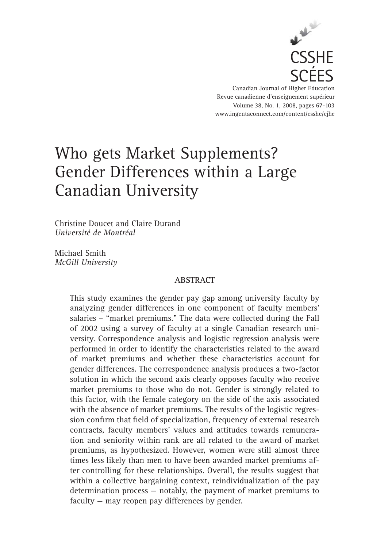

Canadian Journal of Higher Education Revue canadienne d'enseignement supérieur Volume 38, No. 1, 2008, pages 67-103 www.ingentaconnect.com/content/csshe/cjhe

# Who gets Market Supplements? Gender Differences within a Large Canadian University

Christine Doucet and Claire Durand *Université de Montréal*

Michael Smith *McGill University*

# **ABSTRACT**

This study examines the gender pay gap among university faculty by analyzing gender differences in one component of faculty members' salaries – "market premiums." The data were collected during the Fall of 2002 using a survey of faculty at a single Canadian research university. Correspondence analysis and logistic regression analysis were performed in order to identify the characteristics related to the award of market premiums and whether these characteristics account for gender differences. The correspondence analysis produces a two-factor solution in which the second axis clearly opposes faculty who receive market premiums to those who do not. Gender is strongly related to this factor, with the female category on the side of the axis associated with the absence of market premiums. The results of the logistic regression confirm that field of specialization, frequency of external research contracts, faculty members' values and attitudes towards remuneration and seniority within rank are all related to the award of market premiums, as hypothesized. However, women were still almost three times less likely than men to have been awarded market premiums after controlling for these relationships. Overall, the results suggest that within a collective bargaining context, reindividualization of the pay determination process — notably, the payment of market premiums to faculty — may reopen pay differences by gender.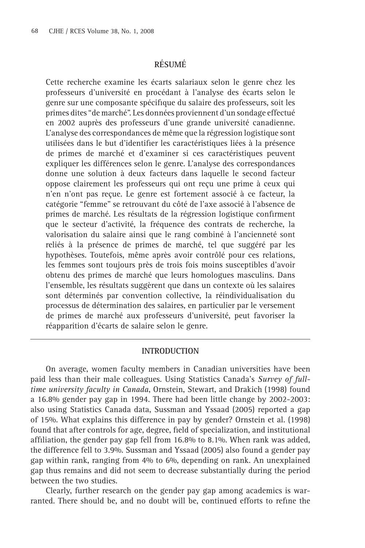# **RÉSUMÉ**

Cette recherche examine les écarts salariaux selon le genre chez les professeurs d'université en procédant à l'analyse des écarts selon le genre sur une composante spécifique du salaire des professeurs, soit les primes dites "de marché". Les données proviennent d'un sondage effectué en 2002 auprès des professeurs d'une grande université canadienne. L'analyse des correspondances de même que la régression logistique sont utilisées dans le but d'identifier les caractéristiques liées à la présence de primes de marché et d'examiner si ces caractéristiques peuvent expliquer les différences selon le genre. L'analyse des correspondances donne une solution à deux facteurs dans laquelle le second facteur oppose clairement les professeurs qui ont reçu une prime à ceux qui n'en n'ont pas reçue. Le genre est fortement associé à ce facteur, la catégorie "femme" se retrouvant du côté de l'axe associé à l'absence de primes de marché. Les résultats de la régression logistique confirment que le secteur d'activité, la fréquence des contrats de recherche, la valorisation du salaire ainsi que le rang combiné à l'ancienneté sont reliés à la présence de primes de marché, tel que suggéré par les hypothèses. Toutefois, même après avoir contrôlé pour ces relations, les femmes sont toujours près de trois fois moins susceptibles d'avoir obtenu des primes de marché que leurs homologues masculins. Dans l'ensemble, les résultats suggèrent que dans un contexte où les salaires sont déterminés par convention collective, la réindividualisation du processus de détermination des salaires, en particulier par le versement de primes de marché aux professeurs d'université, peut favoriser la réapparition d'écarts de salaire selon le genre.

#### **INTRODUCTION**

On average, women faculty members in Canadian universities have been paid less than their male colleagues. Using Statistics Canada's *Survey of fulltime university faculty in Canada*, Ornstein, Stewart, and Drakich (1998) found a 16.8% gender pay gap in 1994. There had been little change by 2002-2003: also using Statistics Canada data, Sussman and Yssaad (2005) reported a gap of 15%. What explains this difference in pay by gender? Ornstein et al. (1998) found that after controls for age, degree, field of specialization, and institutional affiliation, the gender pay gap fell from  $16.8\%$  to 8.1%. When rank was added, the difference fell to 3.9%. Sussman and Yssaad (2005) also found a gender pay gap within rank, ranging from 4% to 6%, depending on rank. An unexplained gap thus remains and did not seem to decrease substantially during the period between the two studies.

Clearly, further research on the gender pay gap among academics is warranted. There should be, and no doubt will be, continued efforts to refine the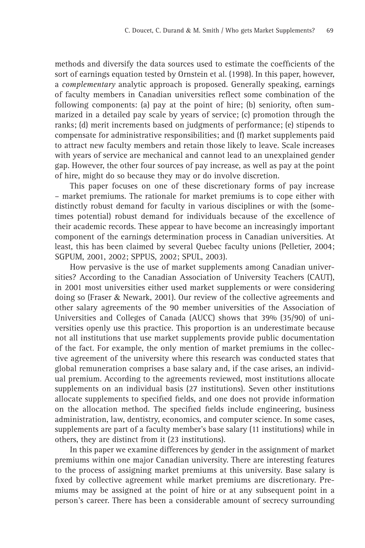methods and diversify the data sources used to estimate the coefficients of the sort of earnings equation tested by Ornstein et al. (1998). In this paper, however, a *complementary* analytic approach is proposed. Generally speaking, earnings of faculty members in Canadian universities reflect some combination of the following components: (a) pay at the point of hire; (b) seniority, often summarized in a detailed pay scale by years of service; (c) promotion through the ranks; (d) merit increments based on judgments of performance; (e) stipends to compensate for administrative responsibilities; and (f) market supplements paid to attract new faculty members and retain those likely to leave. Scale increases with years of service are mechanical and cannot lead to an unexplained gender gap. However, the other four sources of pay increase, as well as pay at the point of hire, might do so because they may or do involve discretion.

This paper focuses on one of these discretionary forms of pay increase – market premiums. The rationale for market premiums is to cope either with distinctly robust demand for faculty in various disciplines or with the (sometimes potential) robust demand for individuals because of the excellence of their academic records. These appear to have become an increasingly important component of the earnings determination process in Canadian universities. At least, this has been claimed by several Quebec faculty unions (Pelletier, 2004; SGPUM, 2001, 2002; SPPUS, 2002; SPUL, 2003).

How pervasive is the use of market supplements among Canadian universities? According to the Canadian Association of University Teachers (CAUT), in 2001 most universities either used market supplements or were considering doing so (Fraser & Newark, 2001). Our review of the collective agreements and other salary agreements of the 90 member universities of the Association of Universities and Colleges of Canada (AUCC) shows that 39% (35/90) of universities openly use this practice. This proportion is an underestimate because not all institutions that use market supplements provide public documentation of the fact. For example, the only mention of market premiums in the collective agreement of the university where this research was conducted states that global remuneration comprises a base salary and, if the case arises, an individual premium. According to the agreements reviewed, most institutions allocate supplements on an individual basis (27 institutions). Seven other institutions allocate supplements to specified fields, and one does not provide information on the allocation method. The specified fields include engineering, business administration, law, dentistry, economics, and computer science. In some cases, supplements are part of a faculty member's base salary (11 institutions) while in others, they are distinct from it (23 institutions).

In this paper we examine differences by gender in the assignment of market premiums within one major Canadian university. There are interesting features to the process of assigning market premiums at this university. Base salary is fixed by collective agreement while market premiums are discretionary. Premiums may be assigned at the point of hire or at any subsequent point in a person's career. There has been a considerable amount of secrecy surrounding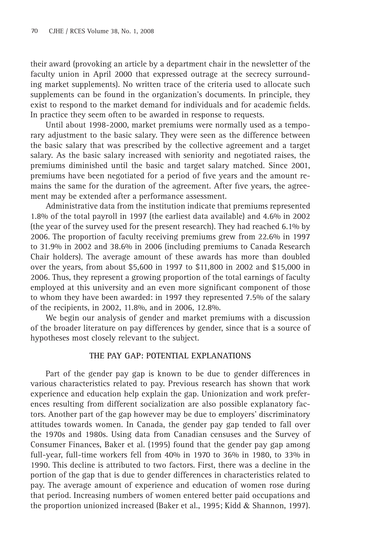their award (provoking an article by a department chair in the newsletter of the faculty union in April 2000 that expressed outrage at the secrecy surrounding market supplements). No written trace of the criteria used to allocate such supplements can be found in the organization's documents. In principle, they exist to respond to the market demand for individuals and for academic fields. In practice they seem often to be awarded in response to requests.

Until about 1998-2000, market premiums were normally used as a temporary adjustment to the basic salary. They were seen as the difference between the basic salary that was prescribed by the collective agreement and a target salary. As the basic salary increased with seniority and negotiated raises, the premiums diminished until the basic and target salary matched. Since 2001, premiums have been negotiated for a period of five years and the amount remains the same for the duration of the agreement. After five years, the agreement may be extended after a performance assessment.

Administrative data from the institution indicate that premiums represented 1.8% of the total payroll in 1997 (the earliest data available) and 4.6% in 2002 (the year of the survey used for the present research). They had reached 6.1% by 2006. The proportion of faculty receiving premiums grew from 22.6% in 1997 to 31.9% in 2002 and 38.6% in 2006 (including premiums to Canada Research Chair holders). The average amount of these awards has more than doubled over the years, from about \$5,600 in 1997 to \$11,800 in 2002 and \$15,000 in 2006. Thus, they represent a growing proportion of the total earnings of faculty employed at this university and an even more significant component of those to whom they have been awarded: in 1997 they represented 7.5% of the salary of the recipients, in 2002, 11.8%, and in 2006, 12.8%.

We begin our analysis of gender and market premiums with a discussion of the broader literature on pay differences by gender, since that is a source of hypotheses most closely relevant to the subject.

## **THE PAY GAP: POTENTIAL EXPLANATIONS**

Part of the gender pay gap is known to be due to gender differences in various characteristics related to pay. Previous research has shown that work experience and education help explain the gap. Unionization and work preferences resulting from different socialization are also possible explanatory factors. Another part of the gap however may be due to employers' discriminatory attitudes towards women. In Canada, the gender pay gap tended to fall over the 1970s and 1980s. Using data from Canadian censuses and the Survey of Consumer Finances, Baker et al. (1995) found that the gender pay gap among full-year, full-time workers fell from 40% in 1970 to 36% in 1980, to 33% in 1990. This decline is attributed to two factors. First, there was a decline in the portion of the gap that is due to gender differences in characteristics related to pay. The average amount of experience and education of women rose during that period. Increasing numbers of women entered better paid occupations and the proportion unionized increased (Baker et al., 1995; Kidd & Shannon, 1997).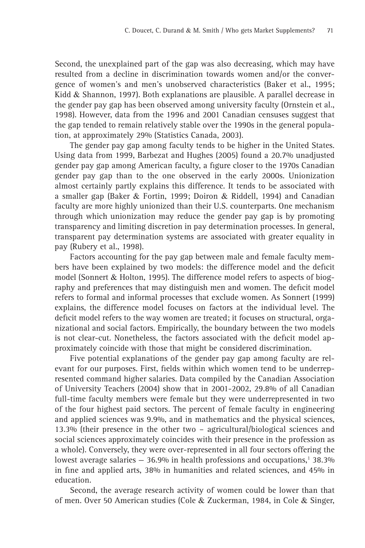Second, the unexplained part of the gap was also decreasing, which may have resulted from a decline in discrimination towards women and/or the convergence of women's and men's unobserved characteristics (Baker et al., 1995; Kidd & Shannon, 1997). Both explanations are plausible. A parallel decrease in the gender pay gap has been observed among university faculty (Ornstein et al., 1998). However, data from the 1996 and 2001 Canadian censuses suggest that the gap tended to remain relatively stable over the 1990s in the general population, at approximately 29% (Statistics Canada, 2003).

The gender pay gap among faculty tends to be higher in the United States. Using data from 1999, Barbezat and Hughes (2005) found a 20.7% unadjusted gender pay gap among American faculty, a figure closer to the 1970s Canadian gender pay gap than to the one observed in the early 2000s. Unionization almost certainly partly explains this difference. It tends to be associated with a smaller gap (Baker & Fortin, 1999; Doiron & Riddell, 1994) and Canadian faculty are more highly unionized than their U.S. counterparts. One mechanism through which unionization may reduce the gender pay gap is by promoting transparency and limiting discretion in pay determination processes. In general, transparent pay determination systems are associated with greater equality in pay (Rubery et al., 1998).

Factors accounting for the pay gap between male and female faculty members have been explained by two models: the difference model and the deficit model (Sonnert & Holton, 1995). The difference model refers to aspects of biography and preferences that may distinguish men and women. The deficit model refers to formal and informal processes that exclude women. As Sonnert (1999) explains, the difference model focuses on factors at the individual level. The deficit model refers to the way women are treated; it focuses on structural, organizational and social factors. Empirically, the boundary between the two models is not clear-cut. Nonetheless, the factors associated with the deficit model approximately coincide with those that might be considered discrimination.

Five potential explanations of the gender pay gap among faculty are relevant for our purposes. First, fields within which women tend to be underrepresented command higher salaries. Data compiled by the Canadian Association of University Teachers (2004) show that in 2001-2002, 29.8% of all Canadian full-time faculty members were female but they were underrepresented in two of the four highest paid sectors. The percent of female faculty in engineering and applied sciences was 9.9%, and in mathematics and the physical sciences, 13.3% (their presence in the other two – agricultural/biological sciences and social sciences approximately coincides with their presence in the profession as a whole). Conversely, they were over-represented in all four sectors offering the lowest average salaries  $-36.9\%$  in health professions and occupations,<sup>1</sup> 38.3% in fine and applied arts, 38% in humanities and related sciences, and 45% in education.

Second, the average research activity of women could be lower than that of men. Over 50 American studies (Cole & Zuckerman, 1984, in Cole & Singer,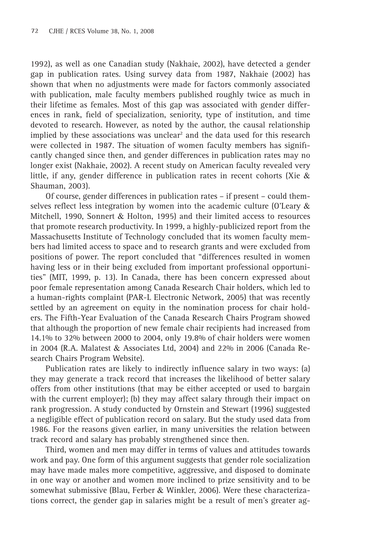1992), as well as one Canadian study (Nakhaie, 2002), have detected a gender gap in publication rates. Using survey data from 1987, Nakhaie (2002) has shown that when no adjustments were made for factors commonly associated with publication, male faculty members published roughly twice as much in their lifetime as females. Most of this gap was associated with gender differences in rank, field of specialization, seniority, type of institution, and time devoted to research. However, as noted by the author, the causal relationship implied by these associations was unclear<sup>2</sup> and the data used for this research were collected in 1987. The situation of women faculty members has significantly changed since then, and gender differences in publication rates may no longer exist (Nakhaie, 2002). A recent study on American faculty revealed very little, if any, gender difference in publication rates in recent cohorts (Xie  $\&$ Shauman, 2003).

Of course, gender differences in publication rates – if present – could themselves reflect less integration by women into the academic culture (O'Leary  $\&$ Mitchell, 1990, Sonnert & Holton, 1995) and their limited access to resources that promote research productivity. In 1999, a highly-publicized report from the Massachusetts Institute of Technology concluded that its women faculty members had limited access to space and to research grants and were excluded from positions of power. The report concluded that "differences resulted in women having less or in their being excluded from important professional opportunities" (MIT, 1999, p. 13). In Canada, there has been concern expressed about poor female representation among Canada Research Chair holders, which led to a human-rights complaint (PAR-L Electronic Network, 2005) that was recently settled by an agreement on equity in the nomination process for chair holders. The Fifth-Year Evaluation of the Canada Research Chairs Program showed that although the proportion of new female chair recipients had increased from 14.1% to 32% between 2000 to 2004, only 19.8% of chair holders were women in 2004 (R.A. Malatest & Associates Ltd, 2004) and 22% in 2006 (Canada Research Chairs Program Website).

Publication rates are likely to indirectly influence salary in two ways: (a) they may generate a track record that increases the likelihood of better salary offers from other institutions (that may be either accepted or used to bargain with the current employer); (b) they may affect salary through their impact on rank progression. A study conducted by Ornstein and Stewart (1996) suggested a negligible effect of publication record on salary. But the study used data from 1986. For the reasons given earlier, in many universities the relation between track record and salary has probably strengthened since then.

Third, women and men may differ in terms of values and attitudes towards work and pay. One form of this argument suggests that gender role socialization may have made males more competitive, aggressive, and disposed to dominate in one way or another and women more inclined to prize sensitivity and to be somewhat submissive (Blau, Ferber & Winkler, 2006). Were these characterizations correct, the gender gap in salaries might be a result of men's greater ag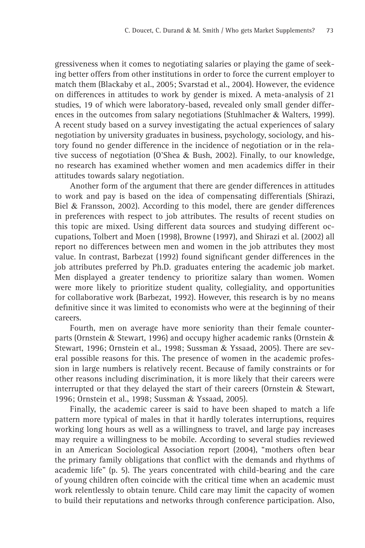gressiveness when it comes to negotiating salaries or playing the game of seeking better offers from other institutions in order to force the current employer to match them (Blackaby et al., 2005; Svarstad et al., 2004). However, the evidence on differences in attitudes to work by gender is mixed. A meta-analysis of 21 studies, 19 of which were laboratory-based, revealed only small gender differences in the outcomes from salary negotiations (Stuhlmacher & Walters, 1999). A recent study based on a survey investigating the actual experiences of salary negotiation by university graduates in business, psychology, sociology, and history found no gender difference in the incidence of negotiation or in the relative success of negotiation (O'Shea & Bush, 2002). Finally, to our knowledge, no research has examined whether women and men academics differ in their attitudes towards salary negotiation.

Another form of the argument that there are gender differences in attitudes to work and pay is based on the idea of compensating differentials (Shirazi, Biel & Fransson, 2002). According to this model, there are gender differences in preferences with respect to job attributes. The results of recent studies on this topic are mixed. Using different data sources and studying different occupations, Tolbert and Moen (1998), Browne (1997), and Shirazi et al. (2002) all report no differences between men and women in the job attributes they most value. In contrast, Barbezat (1992) found significant gender differences in the job attributes preferred by Ph.D. graduates entering the academic job market. Men displayed a greater tendency to prioritize salary than women. Women were more likely to prioritize student quality, collegiality, and opportunities for collaborative work (Barbezat, 1992). However, this research is by no means definitive since it was limited to economists who were at the beginning of their careers.

Fourth, men on average have more seniority than their female counterparts (Ornstein & Stewart, 1996) and occupy higher academic ranks (Ornstein & Stewart, 1996; Ornstein et al., 1998; Sussman & Yssaad, 2005). There are several possible reasons for this. The presence of women in the academic profession in large numbers is relatively recent. Because of family constraints or for other reasons including discrimination, it is more likely that their careers were interrupted or that they delayed the start of their careers (Ornstein  $\&$  Stewart, 1996; Ornstein et al., 1998; Sussman & Yssaad, 2005).

Finally, the academic career is said to have been shaped to match a life pattern more typical of males in that it hardly tolerates interruptions, requires working long hours as well as a willingness to travel, and large pay increases may require a willingness to be mobile. According to several studies reviewed in an American Sociological Association report (2004), "mothers often bear the primary family obligations that conflict with the demands and rhythms of academic life" (p. 5). The years concentrated with child-bearing and the care of young children often coincide with the critical time when an academic must work relentlessly to obtain tenure. Child care may limit the capacity of women to build their reputations and networks through conference participation. Also,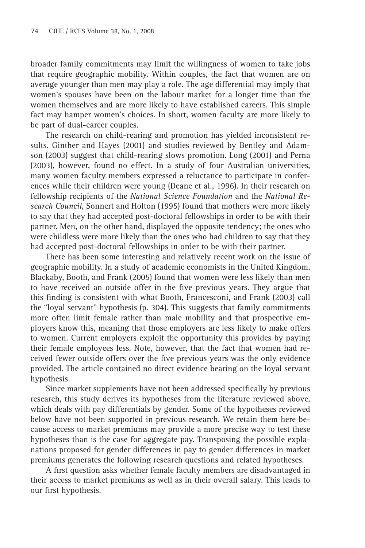broader family commitments may limit the willingness of women to take jobs that require geographic mobility. Within couples, the fact that women are on average younger than men may play a role. The age differential may imply that women's spouses have been on the labour market for a longer time than the women themselves and are more likely to have established careers. This simple fact may hamper women's choices. In short, women faculty are more likely to be part of dual-career couples.

The research on child-rearing and promotion has yielded inconsistent results. Ginther and Hayes (2001) and studies reviewed by Bentley and Adamson (2003) suggest that child-rearing slows promotion. Long (2001) and Perna (2003), however, found no effect. In a study of four Australian universities, many women faculty members expressed a reluctance to participate in conferences while their children were young (Deane et al., 1996). In their research on fellowship recipients of the *National Science Foundation* and the *National Research Council*, Sonnert and Holton (1995) found that mothers were more likely to say that they had accepted post-doctoral fellowships in order to be with their partner. Men, on the other hand, displayed the opposite tendency; the ones who were childless were more likely than the ones who had children to say that they had accepted post-doctoral fellowships in order to be with their partner.

There has been some interesting and relatively recent work on the issue of geographic mobility. In a study of academic economists in the United Kingdom, Blackaby, Booth, and Frank (2005) found that women were less likely than men to have received an outside offer in the five previous years. They argue that this finding is consistent with what Booth, Francesconi, and Frank (2003) call the "loyal servant" hypothesis (p. 304). This suggests that family commitments more often limit female rather than male mobility and that prospective employers know this, meaning that those employers are less likely to make offers to women. Current employers exploit the opportunity this provides by paying their female employees less. Note, however, that the fact that women had received fewer outside offers over the five previous years was the only evidence provided. The article contained no direct evidence bearing on the loyal servant hypothesis.

Since market supplements have not been addressed specifically by previous research, this study derives its hypotheses from the literature reviewed above, which deals with pay differentials by gender. Some of the hypotheses reviewed below have not been supported in previous research. We retain them here because access to market premiums may provide a more precise way to test these hypotheses than is the case for aggregate pay. Transposing the possible explanations proposed for gender differences in pay to gender differences in market premiums generates the following research questions and related hypotheses.

A first question asks whether female faculty members are disadvantaged in their access to market premiums as well as in their overall salary. This leads to our first hypothesis.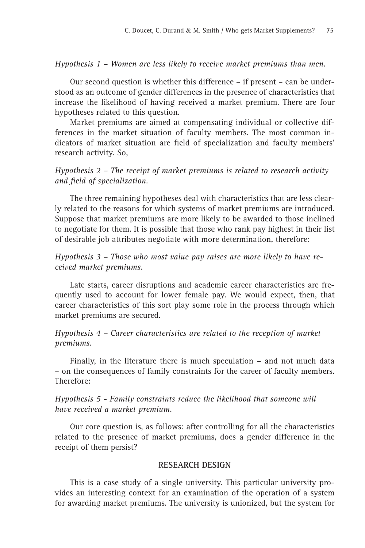# *Hypothesis 1 – Women are less likely to receive market premiums than men.*

Our second question is whether this difference – if present – can be understood as an outcome of gender differences in the presence of characteristics that increase the likelihood of having received a market premium. There are four hypotheses related to this question.

Market premiums are aimed at compensating individual or collective differences in the market situation of faculty members. The most common indicators of market situation are field of specialization and faculty members' research activity. So,

# *Hypothesis 2 – The receipt of market premiums is related to research activity and field of specialization.*

The three remaining hypotheses deal with characteristics that are less clearly related to the reasons for which systems of market premiums are introduced. Suppose that market premiums are more likely to be awarded to those inclined to negotiate for them. It is possible that those who rank pay highest in their list of desirable job attributes negotiate with more determination, therefore:

*Hypothesis 3 – Those who most value pay raises are more likely to have received market premiums.*

Late starts, career disruptions and academic career characteristics are frequently used to account for lower female pay. We would expect, then, that career characteristics of this sort play some role in the process through which market premiums are secured.

# *Hypothesis 4 – Career characteristics are related to the reception of market premiums.*

Finally, in the literature there is much speculation – and not much data – on the consequences of family constraints for the career of faculty members. Therefore:

# *Hypothesis 5 - Family constraints reduce the likelihood that someone will have received a market premium.*

Our core question is, as follows: after controlling for all the characteristics related to the presence of market premiums, does a gender difference in the receipt of them persist?

## **RESEARCH DESIGN**

This is a case study of a single university. This particular university provides an interesting context for an examination of the operation of a system for awarding market premiums. The university is unionized, but the system for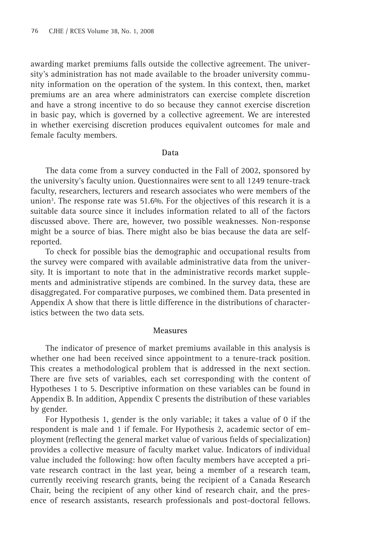awarding market premiums falls outside the collective agreement. The university's administration has not made available to the broader university community information on the operation of the system. In this context, then, market premiums are an area where administrators can exercise complete discretion and have a strong incentive to do so because they cannot exercise discretion in basic pay, which is governed by a collective agreement. We are interested in whether exercising discretion produces equivalent outcomes for male and female faculty members.

#### **Data**

The data come from a survey conducted in the Fall of 2002, sponsored by the university's faculty union. Questionnaires were sent to all 1249 tenure-track faculty, researchers, lecturers and research associates who were members of the union<sup>3</sup>. The response rate was 51.6%. For the objectives of this research it is a suitable data source since it includes information related to all of the factors discussed above. There are, however, two possible weaknesses. Non-response might be a source of bias. There might also be bias because the data are selfreported.

To check for possible bias the demographic and occupational results from the survey were compared with available administrative data from the university. It is important to note that in the administrative records market supplements and administrative stipends are combined. In the survey data, these are disaggregated. For comparative purposes, we combined them. Data presented in Appendix A show that there is little difference in the distributions of characteristics between the two data sets.

#### **Measures**

The indicator of presence of market premiums available in this analysis is whether one had been received since appointment to a tenure-track position. This creates a methodological problem that is addressed in the next section. There are five sets of variables, each set corresponding with the content of Hypotheses 1 to 5. Descriptive information on these variables can be found in Appendix B. In addition, Appendix C presents the distribution of these variables by gender.

For Hypothesis 1, gender is the only variable; it takes a value of 0 if the respondent is male and 1 if female. For Hypothesis 2, academic sector of employment (reflecting the general market value of various fields of specialization) provides a collective measure of faculty market value. Indicators of individual value included the following: how often faculty members have accepted a private research contract in the last year, being a member of a research team, currently receiving research grants, being the recipient of a Canada Research Chair, being the recipient of any other kind of research chair, and the presence of research assistants, research professionals and post-doctoral fellows.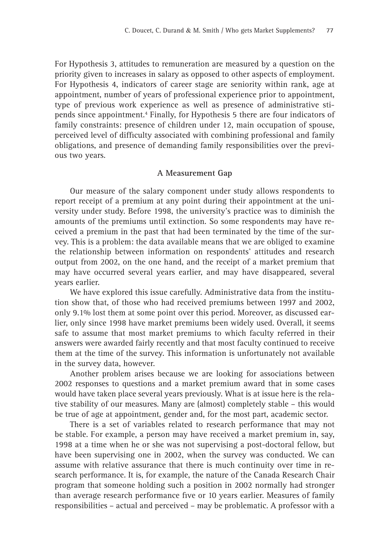For Hypothesis 3, attitudes to remuneration are measured by a question on the priority given to increases in salary as opposed to other aspects of employment. For Hypothesis 4, indicators of career stage are seniority within rank, age at appointment, number of years of professional experience prior to appointment, type of previous work experience as well as presence of administrative stipends since appointment.<sup>4</sup> Finally, for Hypothesis 5 there are four indicators of family constraints: presence of children under 12, main occupation of spouse, perceived level of difficulty associated with combining professional and family obligations, and presence of demanding family responsibilities over the previous two years.

#### **A Measurement Gap**

Our measure of the salary component under study allows respondents to report receipt of a premium at any point during their appointment at the university under study. Before 1998, the university's practice was to diminish the amounts of the premiums until extinction. So some respondents may have received a premium in the past that had been terminated by the time of the survey. This is a problem: the data available means that we are obliged to examine the relationship between information on respondents' attitudes and research output from 2002, on the one hand, and the receipt of a market premium that may have occurred several years earlier, and may have disappeared, several years earlier.

We have explored this issue carefully. Administrative data from the institution show that, of those who had received premiums between 1997 and 2002, only 9.1% lost them at some point over this period. Moreover, as discussed earlier, only since 1998 have market premiums been widely used. Overall, it seems safe to assume that most market premiums to which faculty referred in their answers were awarded fairly recently and that most faculty continued to receive them at the time of the survey. This information is unfortunately not available in the survey data, however.

Another problem arises because we are looking for associations between 2002 responses to questions and a market premium award that in some cases would have taken place several years previously. What is at issue here is the relative stability of our measures. Many are (almost) completely stable – this would be true of age at appointment, gender and, for the most part, academic sector.

There is a set of variables related to research performance that may not be stable. For example, a person may have received a market premium in, say, 1998 at a time when he or she was not supervising a post-doctoral fellow, but have been supervising one in 2002, when the survey was conducted. We can assume with relative assurance that there is much continuity over time in research performance. It is, for example, the nature of the Canada Research Chair program that someone holding such a position in 2002 normally had stronger than average research performance five or 10 years earlier. Measures of family responsibilities – actual and perceived – may be problematic. A professor with a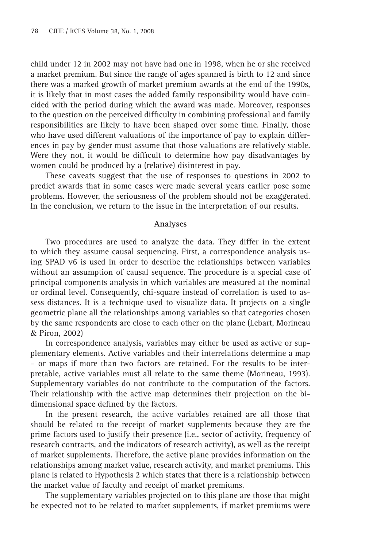child under 12 in 2002 may not have had one in 1998, when he or she received a market premium. But since the range of ages spanned is birth to 12 and since there was a marked growth of market premium awards at the end of the 1990s, it is likely that in most cases the added family responsibility would have coincided with the period during which the award was made. Moreover, responses to the question on the perceived difficulty in combining professional and family responsibilities are likely to have been shaped over some time. Finally, those who have used different valuations of the importance of pay to explain differences in pay by gender must assume that those valuations are relatively stable. Were they not, it would be difficult to determine how pay disadvantages by women could be produced by a (relative) disinterest in pay.

These caveats suggest that the use of responses to questions in 2002 to predict awards that in some cases were made several years earlier pose some problems. However, the seriousness of the problem should not be exaggerated. In the conclusion, we return to the issue in the interpretation of our results.

#### **Analyses**

Two procedures are used to analyze the data. They differ in the extent to which they assume causal sequencing. First, a correspondence analysis using SPAD v6 is used in order to describe the relationships between variables without an assumption of causal sequence. The procedure is a special case of principal components analysis in which variables are measured at the nominal or ordinal level. Consequently, chi-square instead of correlation is used to assess distances. It is a technique used to visualize data. It projects on a single geometric plane all the relationships among variables so that categories chosen by the same respondents are close to each other on the plane (Lebart, Morineau & Piron, 2002)

In correspondence analysis, variables may either be used as active or supplementary elements. Active variables and their interrelations determine a map – or maps if more than two factors are retained. For the results to be interpretable, active variables must all relate to the same theme (Morineau, 1993). Supplementary variables do not contribute to the computation of the factors. Their relationship with the active map determines their projection on the bidimensional space defined by the factors.

In the present research, the active variables retained are all those that should be related to the receipt of market supplements because they are the prime factors used to justify their presence (i.e., sector of activity, frequency of research contracts, and the indicators of research activity), as well as the receipt of market supplements. Therefore, the active plane provides information on the relationships among market value, research activity, and market premiums. This plane is related to Hypothesis 2 which states that there is a relationship between the market value of faculty and receipt of market premiums.

The supplementary variables projected on to this plane are those that might be expected not to be related to market supplements, if market premiums were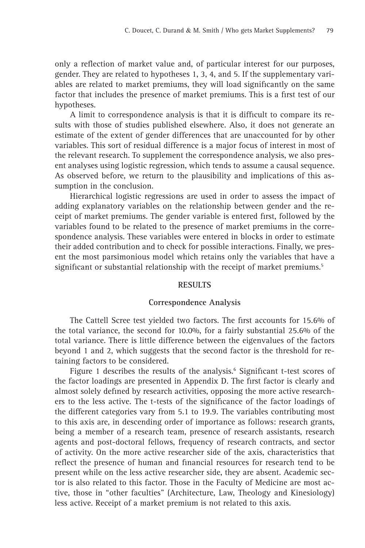only a reflection of market value and, of particular interest for our purposes, gender. They are related to hypotheses 1, 3, 4, and 5. If the supplementary variables are related to market premiums, they will load significantly on the same factor that includes the presence of market premiums. This is a first test of our hypotheses.

A limit to correspondence analysis is that it is difficult to compare its results with those of studies published elsewhere. Also, it does not generate an estimate of the extent of gender differences that are unaccounted for by other variables. This sort of residual difference is a major focus of interest in most of the relevant research. To supplement the correspondence analysis, we also present analyses using logistic regression, which tends to assume a causal sequence. As observed before, we return to the plausibility and implications of this assumption in the conclusion.

Hierarchical logistic regressions are used in order to assess the impact of adding explanatory variables on the relationship between gender and the receipt of market premiums. The gender variable is entered first, followed by the variables found to be related to the presence of market premiums in the correspondence analysis. These variables were entered in blocks in order to estimate their added contribution and to check for possible interactions. Finally, we present the most parsimonious model which retains only the variables that have a significant or substantial relationship with the receipt of market premiums.<sup>5</sup>

#### **RESULTS**

#### **Correspondence Analysis**

The Cattell Scree test yielded two factors. The first accounts for 15.6% of the total variance, the second for 10.0%, for a fairly substantial 25.6% of the total variance. There is little difference between the eigenvalues of the factors beyond 1 and 2, which suggests that the second factor is the threshold for retaining factors to be considered.

Figure 1 describes the results of the analysis.<sup>6</sup> Significant t-test scores of the factor loadings are presented in Appendix D. The first factor is clearly and almost solely defined by research activities, opposing the more active researchers to the less active. The t-tests of the significance of the factor loadings of the different categories vary from 5.1 to 19.9. The variables contributing most to this axis are, in descending order of importance as follows: research grants, being a member of a research team, presence of research assistants, research agents and post-doctoral fellows, frequency of research contracts, and sector of activity. On the more active researcher side of the axis, characteristics that reflect the presence of human and financial resources for research tend to be present while on the less active researcher side, they are absent. Academic sector is also related to this factor. Those in the Faculty of Medicine are most active, those in "other faculties" (Architecture, Law, Theology and Kinesiology) less active. Receipt of a market premium is not related to this axis.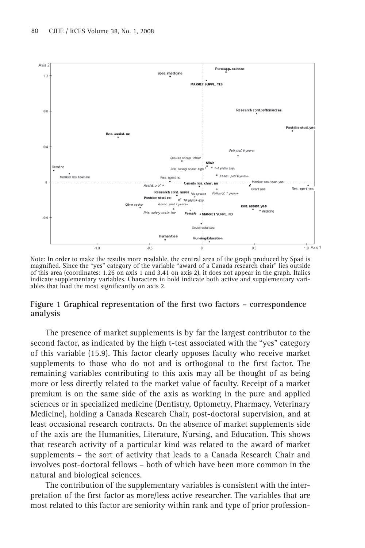

Note: In order to make the results more readable, the central area of the graph produced by Spad is magnified. Since the "yes" category of the variable "award of a Canada research chair" lies outside of this area (coordinates: 1.26 on axis 1 and 3.41 on axis 2), it does not appear in the graph. Italics indicate supplementary variables. Characters in bold indicate both active and supplementary variables that load the most significantly on axis 2.

## Figure 1 Graphical representation of the first two factors – correspondence **analysis**

The presence of market supplements is by far the largest contributor to the second factor, as indicated by the high t-test associated with the "yes" category of this variable (15.9). This factor clearly opposes faculty who receive market supplements to those who do not and is orthogonal to the first factor. The remaining variables contributing to this axis may all be thought of as being more or less directly related to the market value of faculty. Receipt of a market premium is on the same side of the axis as working in the pure and applied sciences or in specialized medicine (Dentistry, Optometry, Pharmacy, Veterinary Medicine), holding a Canada Research Chair, post-doctoral supervision, and at least occasional research contracts. On the absence of market supplements side of the axis are the Humanities, Literature, Nursing, and Education. This shows that research activity of a particular kind was related to the award of market supplements – the sort of activity that leads to a Canada Research Chair and involves post-doctoral fellows – both of which have been more common in the natural and biological sciences.

The contribution of the supplementary variables is consistent with the interpretation of the first factor as more/less active researcher. The variables that are most related to this factor are seniority within rank and type of prior profession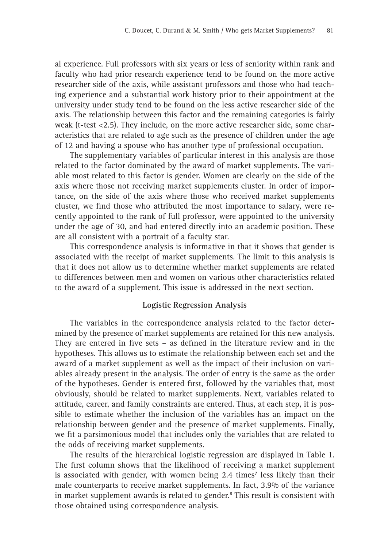al experience. Full professors with six years or less of seniority within rank and faculty who had prior research experience tend to be found on the more active researcher side of the axis, while assistant professors and those who had teaching experience and a substantial work history prior to their appointment at the university under study tend to be found on the less active researcher side of the axis. The relationship between this factor and the remaining categories is fairly weak (t-test <2.5). They include, on the more active researcher side, some characteristics that are related to age such as the presence of children under the age of 12 and having a spouse who has another type of professional occupation.

The supplementary variables of particular interest in this analysis are those related to the factor dominated by the award of market supplements. The variable most related to this factor is gender. Women are clearly on the side of the axis where those not receiving market supplements cluster. In order of importance, on the side of the axis where those who received market supplements cluster, we find those who attributed the most importance to salary, were recently appointed to the rank of full professor, were appointed to the university under the age of 30, and had entered directly into an academic position. These are all consistent with a portrait of a faculty star.

This correspondence analysis is informative in that it shows that gender is associated with the receipt of market supplements. The limit to this analysis is that it does not allow us to determine whether market supplements are related to differences between men and women on various other characteristics related to the award of a supplement. This issue is addressed in the next section.

#### **Logistic Regression Analysis**

The variables in the correspondence analysis related to the factor determined by the presence of market supplements are retained for this new analysis. They are entered in five sets  $-$  as defined in the literature review and in the hypotheses. This allows us to estimate the relationship between each set and the award of a market supplement as well as the impact of their inclusion on variables already present in the analysis. The order of entry is the same as the order of the hypotheses. Gender is entered first, followed by the variables that, most obviously, should be related to market supplements. Next, variables related to attitude, career, and family constraints are entered. Thus, at each step, it is possible to estimate whether the inclusion of the variables has an impact on the relationship between gender and the presence of market supplements. Finally, we fit a parsimonious model that includes only the variables that are related to the odds of receiving market supplements.

The results of the hierarchical logistic regression are displayed in Table 1. The first column shows that the likelihood of receiving a market supplement is associated with gender, with women being 2.4 times<sup>7</sup> less likely than their male counterparts to receive market supplements. In fact, 3.9% of the variance in market supplement awards is related to gender.<sup>8</sup> This result is consistent with those obtained using correspondence analysis.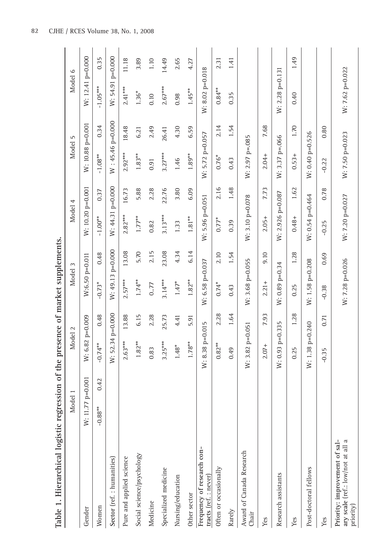| Table 1. Hierarchical logistic                                                  |                    |      |                   |       | regression of the presence of market supplements |       |                   |       |                   |       |                    |       |
|---------------------------------------------------------------------------------|--------------------|------|-------------------|-------|--------------------------------------------------|-------|-------------------|-------|-------------------|-------|--------------------|-------|
|                                                                                 | Model 1            |      | Model 2           |       | Model 3                                          |       | Model 4           |       | Model             | 5     | Model 6            |       |
| Gender                                                                          | W: 11.77 $p=0.001$ |      | W: 6.82 p=0.009   |       | W:6.50 p=0.011                                   |       | W: 10.20 p=0.001  |       | W: 10.88 p=0.001  |       | W: $12.41 p=0.000$ |       |
| Women                                                                           | $-0.88**$          | 0.42 | $-0.74**$         | 0.48  | $-0.73*$                                         | 0.48  | $-1.00***$        | 0.37  | $-1.08***$        | 0.34  | $-1.05***$         | 0.35  |
| Sector (ref.: humanities)                                                       |                    |      | W: 52.34 p=0.000  |       | W: 49.13 p=0.000                                 |       | W: 44.31 p=0.000  |       | W: 45.46 p=0.000  |       | W: 54.91 p=0.000   |       |
| Pure and applied science                                                        |                    |      | $2.63***$         | 13.88 | $2.57***$                                        | 13.08 | $2.82***$         | 16.73 | $2.92***$         | 18.48 | $2.41***$          | 11.18 |
| Social science/psychology                                                       |                    |      | $1.82***$         | 6.15  | $1.74***$                                        | 5.70  | $1.77***$         | 5.88  | $1.83***$         | 6.21  | $1.36*$            | 3.89  |
| Medicine                                                                        |                    |      | 0.83              | 2.28  | 0.77                                             | 2.15  | 0.82              | 2.28  | 0.91              | 2.49  | 0.10               | 1.10  |
| Specialized medicine                                                            |                    |      | $3.25***$         | 25.73 | $3.14***$                                        | 23.08 | $3.13***$         | 22.76 | $3.27***$         | 26.41 | $2.67***$          | 14.49 |
| Nursing/education                                                               |                    |      | $1.48*$           | 4.41  | $1.47*$                                          | 4.34  | 1.33              | 3.80  | 1.46              | 4.30  | 0.98               | 2.65  |
| Other sector                                                                    |                    |      | $1.78***$         | 5.91  | $1.82***$                                        | 6.14  | $1.81***$         | 6.09  | $1.89***$         | 6.59  | $1.45**$           | 4.27  |
| Frequency of research con-<br>tracts (ref.: never)                              |                    |      | W: 8.38 p=0.015   |       | W: 6.58 p=0.037                                  |       | $W: 5.96 p=0.051$ |       | $W: 5.72 p=0.057$ |       | $W: 8.02 p=0.018$  |       |
| Often or occasionally                                                           |                    |      | $0.82***$         | 2.28  | $0.74*$                                          | 2.10  | $0.77*$           | 2.16  | $0.76*$           | 2.14  | $0.84***$          | 2.31  |
| Rarely                                                                          |                    |      | 0.49              | 1.64  | 0.43                                             | 1.54  | 0.39              | 1.48  | 0.43              | 1.54  | 0.35               | 1.41  |
| Award of Canada Research<br>Chair                                               |                    |      | W: $3.82$ p=0.051 |       | W: 3.68 p=0.055                                  |       | W: 3.10 p=0.078   |       | $W: 2.97 p=.085$  |       |                    |       |
| Yes                                                                             |                    |      | $2.07 +$          | 7.93  | $2.21 +$                                         | 9.10  | $2.05+$           | 7.73  | $2.04 +$          | 7.68  |                    |       |
| Research assistants                                                             |                    |      | W: 0.93 p=0.335   |       | $W: 0.89 p=0.34$                                 |       | W: 2.926 p=0.087  |       | W: 3.37 p=.066    |       | $W: 2.28 p=0.131$  |       |
| Yes                                                                             |                    |      | 0.25              | 1.28  | 0.25                                             | 1.28  | $0.48 +$          | 1.62  | $0.53 +$          | 1.70  | 0.40               | 1.49  |
| Post-doctoral fellows                                                           |                    |      | W: 1.38 p=0.240   |       | W: 1.58 p=0.208                                  |       | W: 0.54 p=0.464   |       | W: 0.40 p=0.526   |       |                    |       |
| Yes                                                                             |                    |      | $-0.35$           | 0.71  | $-0.38$                                          | 0.69  | $-0.25$           | 0.78  | $-0.22$           | 0.80  |                    |       |
| ary scale (ref.: low/not at all a<br>Priority: improvement of sal-<br>priority) |                    |      |                   |       | W: 7.28 p=0.026                                  |       | W: 7.20 p=0.027   |       | W: 7.50 p=0.023   |       | W: 7.62 p=0.022    |       |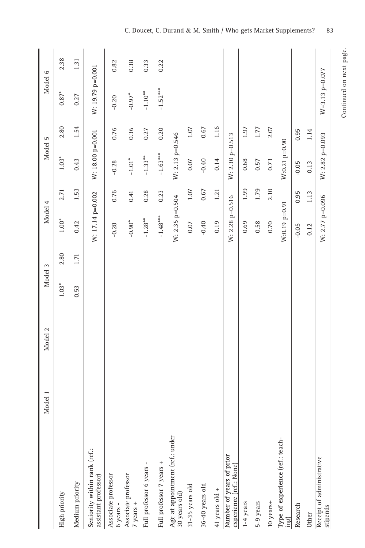|                                                         | Model 1 | Model 2 | Model 3 |      | Model 4          |      | Model 5          |      | Model 6          |      |
|---------------------------------------------------------|---------|---------|---------|------|------------------|------|------------------|------|------------------|------|
| High priority                                           |         |         | 1.03*   | 2.80 | $1.00*$          | 2.71 | $1.03*$          | 2.80 | $0.87*$          | 2.38 |
| Medium priority                                         |         |         | 0.53    | 1.71 | 0.42             | 1.53 | 0.43             | 1.54 | 0.27             | 1.31 |
| Seniority within rank (ref.:<br>assistant professor)    |         |         |         |      | W: 17.14 p=0.002 |      | W: 18.00 p=0.001 |      | W: 19.79 p=0.001 |      |
| Associate professor<br>$6$ years $-$                    |         |         |         |      | $-0.28$          | 0.76 | $-0.28$          | 0.76 | $-0.20$          | 0.82 |
|                                                         |         |         |         |      | $-0.90*$         | 0.41 | $-1.01*$         | 0.36 | $-0.97*$         | 0.38 |
| Full professor 6 years -                                |         |         |         |      | $-1.28***$       | 0.28 | $-1.33**$        | 0.27 | $-1.10**$        | 0.33 |
| Full professor 7 years +                                |         |         |         |      | $-1.48***$       | 0.23 | $-1.63***$       | 0.20 | $-1.52***$       | 0.22 |
| Age at appointment (ref.: under<br>30 years old)        |         |         |         |      | W: 2.35 p=0.504  |      | W: 2.13 p=0.546  |      |                  |      |
| 31-35 years old                                         |         |         |         |      | 0.07             | 1.07 | 0.07             | 1.07 |                  |      |
| 36-40 years old                                         |         |         |         |      | $-0.40$          | 0.67 | $-0.40$          | 0.67 |                  |      |
| 41 years old +                                          |         |         |         |      | 0.19             | 1.21 | 0.14             | 1.16 |                  |      |
| Number of years of prior<br>experience (ref.: None)     |         |         |         |      | W: 2.28 p=0.516  |      | W: 2.30 p=0.513  |      |                  |      |
| $1-4$ years                                             |         |         |         |      | 0.69             | 1.99 | 0.68             | 1.97 |                  |      |
| 5-9 years                                               |         |         |         |      | 0.58             | 1.79 | 0.57             | 1.77 |                  |      |
| 10 years+                                               |         |         |         |      | 0.70             | 2.10 | 0.73             | 2.07 |                  |      |
| Type of experience (ref.: teach- $\operatorname{ing}$ ) |         |         |         |      | $W:0.19$ p=0.91  |      | $W:0.21 p=0.90$  |      |                  |      |
| Research                                                |         |         |         |      | $-0.05$          | 0.95 | $-0.05$          | 0.95 |                  |      |
| Other                                                   |         |         |         |      | 0.12             | 1.13 | 0.13             | 1.14 |                  |      |
| Receipt of administrative<br>stipends                   |         |         |         |      | W: 2.77 p=0.096  |      | W: 2.82 p=0.093  |      | $W=3.13$ p=0.077 |      |
|                                                         |         |         |         |      |                  |      |                  |      |                  |      |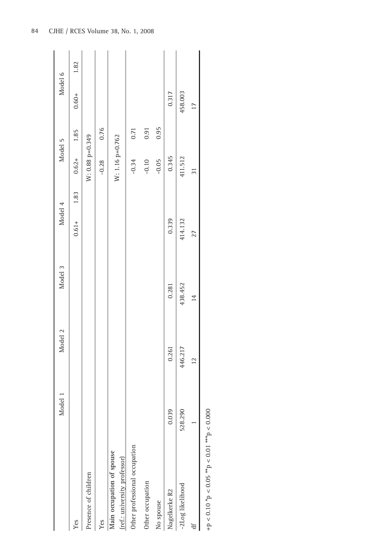|                                                                | Model 1 | Model 2                           | Model 3 | Model 4          | Model 5         |      | Model 6        |      |
|----------------------------------------------------------------|---------|-----------------------------------|---------|------------------|-----------------|------|----------------|------|
| Yes                                                            |         |                                   |         | 1.83<br>$0.61 +$ | $0.62 +$        | 1.85 | $0.60 +$       | 1.82 |
| Presence of children                                           |         |                                   |         |                  | W: 0.88 p=0.349 |      |                |      |
| Yes                                                            |         |                                   |         |                  | $-0.28$         | 0.76 |                |      |
| Main occupation of spouse<br>(ref.: university professor)      |         |                                   |         |                  | W: 1.16 p=0.762 |      |                |      |
| Other professional occupation                                  |         |                                   |         |                  | $-0.34$         | 0.71 |                |      |
| Other occupation                                               |         |                                   |         |                  | $-0.10$         | 0.91 |                |      |
| No spouse                                                      |         |                                   |         |                  | $-0.05$         | 0.95 |                |      |
| Nagelkerke R2                                                  | 0.039   | 0.261                             | 0.281   | 0.339            | 0.345           |      | 0.317          |      |
| -2Log likelihood                                               | 528.290 | 446.217                           | 438.452 | 414.132          | 411.512         |      | 458.003        |      |
|                                                                |         | $\overline{14}$<br>$\overline{c}$ |         | 27               | $\overline{5}$  |      | $\overline{1}$ |      |
| +p < 0.10 $*$ p < 0.05 $*$ p < 0.05 $*$ $-$ 0.01 $*$ $-$ 0.000 |         |                                   |         |                  |                 |      |                |      |

pov.<br>S +p < 0.10 \*p < 0.05 \*\*p < 0.01 \*\*\*p < 0.000 $\mathcal{L}$ Ĺ, )<br>S  $\overline{\mathbf{r}}$ Co.o 2

84 CJHE / RCES Volume 38, No. 1, 2008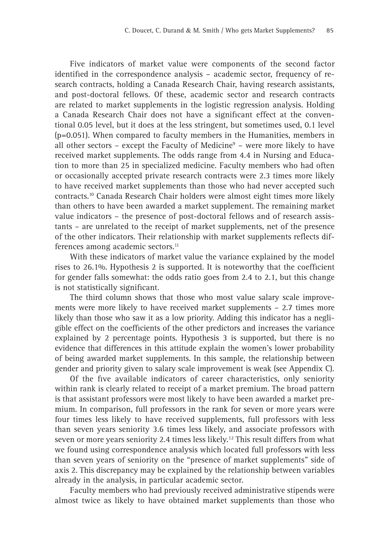Five indicators of market value were components of the second factor identified in the correspondence analysis - academic sector, frequency of research contracts, holding a Canada Research Chair, having research assistants, and post-doctoral fellows. Of these, academic sector and research contracts are related to market supplements in the logistic regression analysis. Holding a Canada Research Chair does not have a significant effect at the conventional 0.05 level, but it does at the less stringent, but sometimes used, 0.1 level (p=0.051). When compared to faculty members in the Humanities, members in all other sectors  $-$  except the Faculty of Medicine<sup>9</sup>  $-$  were more likely to have received market supplements. The odds range from 4.4 in Nursing and Education to more than 25 in specialized medicine. Faculty members who had often or occasionally accepted private research contracts were 2.3 times more likely to have received market supplements than those who had never accepted such contracts.10 Canada Research Chair holders were almost eight times more likely than others to have been awarded a market supplement. The remaining market value indicators – the presence of post-doctoral fellows and of research assistants – are unrelated to the receipt of market supplements, net of the presence of the other indicators. Their relationship with market supplements reflects differences among academic sectors.<sup>11</sup>

With these indicators of market value the variance explained by the model rises to  $26.1\%$ . Hypothesis 2 is supported. It is noteworthy that the coefficient for gender falls somewhat: the odds ratio goes from 2.4 to 2.1, but this change is not statistically significant.

The third column shows that those who most value salary scale improvements were more likely to have received market supplements – 2.7 times more likely than those who saw it as a low priority. Adding this indicator has a negligible effect on the coefficients of the other predictors and increases the variance explained by 2 percentage points. Hypothesis 3 is supported, but there is no evidence that differences in this attitude explain the women's lower probability of being awarded market supplements. In this sample, the relationship between gender and priority given to salary scale improvement is weak (see Appendix C).

Of the five available indicators of career characteristics, only seniority within rank is clearly related to receipt of a market premium. The broad pattern is that assistant professors were most likely to have been awarded a market premium. In comparison, full professors in the rank for seven or more years were four times less likely to have received supplements, full professors with less than seven years seniority 3.6 times less likely, and associate professors with seven or more years seniority 2.4 times less likely.<sup>12</sup> This result differs from what we found using correspondence analysis which located full professors with less than seven years of seniority on the "presence of market supplements" side of axis 2. This discrepancy may be explained by the relationship between variables already in the analysis, in particular academic sector.

Faculty members who had previously received administrative stipends were almost twice as likely to have obtained market supplements than those who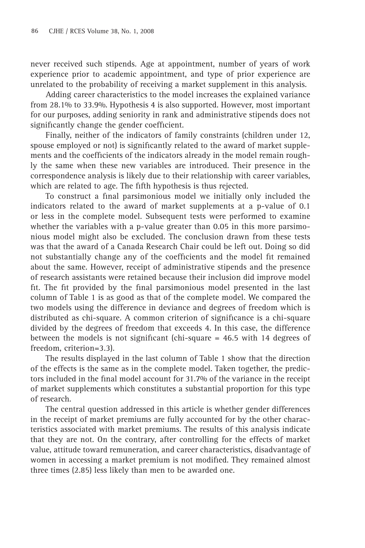never received such stipends. Age at appointment, number of years of work experience prior to academic appointment, and type of prior experience are unrelated to the probability of receiving a market supplement in this analysis.

Adding career characteristics to the model increases the explained variance from 28.1% to 33.9%. Hypothesis 4 is also supported. However, most important for our purposes, adding seniority in rank and administrative stipends does not significantly change the gender coefficient.

Finally, neither of the indicators of family constraints (children under 12, spouse employed or not) is significantly related to the award of market supplements and the coefficients of the indicators already in the model remain roughly the same when these new variables are introduced. Their presence in the correspondence analysis is likely due to their relationship with career variables, which are related to age. The fifth hypothesis is thus rejected.

To construct a final parsimonious model we initially only included the indicators related to the award of market supplements at a p-value of 0.1 or less in the complete model. Subsequent tests were performed to examine whether the variables with a p-value greater than 0.05 in this more parsimonious model might also be excluded. The conclusion drawn from these tests was that the award of a Canada Research Chair could be left out. Doing so did not substantially change any of the coefficients and the model fit remained about the same. However, receipt of administrative stipends and the presence of research assistants were retained because their inclusion did improve model fit. The fit provided by the final parsimonious model presented in the last column of Table 1 is as good as that of the complete model. We compared the two models using the difference in deviance and degrees of freedom which is distributed as chi-square. A common criterion of significance is a chi-square divided by the degrees of freedom that exceeds 4. In this case, the difference between the models is not significant (chi-square  $= 46.5$  with 14 degrees of freedom, criterion=3.3).

The results displayed in the last column of Table 1 show that the direction of the effects is the same as in the complete model. Taken together, the predictors included in the final model account for 31.7% of the variance in the receipt of market supplements which constitutes a substantial proportion for this type of research.

The central question addressed in this article is whether gender differences in the receipt of market premiums are fully accounted for by the other characteristics associated with market premiums. The results of this analysis indicate that they are not. On the contrary, after controlling for the effects of market value, attitude toward remuneration, and career characteristics, disadvantage of women in accessing a market premium is not modified. They remained almost three times (2.85) less likely than men to be awarded one.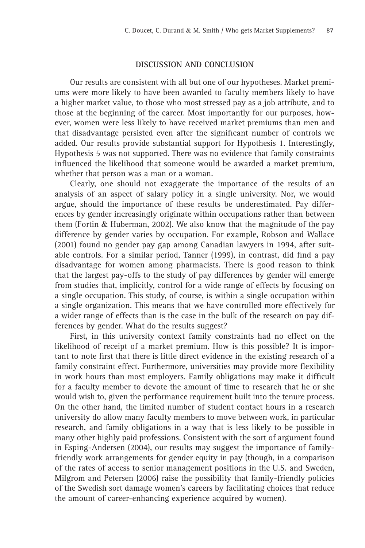#### **DISCUSSION AND CONCLUSION**

Our results are consistent with all but one of our hypotheses. Market premiums were more likely to have been awarded to faculty members likely to have a higher market value, to those who most stressed pay as a job attribute, and to those at the beginning of the career. Most importantly for our purposes, however, women were less likely to have received market premiums than men and that disadvantage persisted even after the significant number of controls we added. Our results provide substantial support for Hypothesis 1. Interestingly, Hypothesis 5 was not supported. There was no evidence that family constraints influenced the likelihood that someone would be awarded a market premium, whether that person was a man or a woman.

Clearly, one should not exaggerate the importance of the results of an analysis of an aspect of salary policy in a single university. Nor, we would argue, should the importance of these results be underestimated. Pay differences by gender increasingly originate within occupations rather than between them (Fortin & Huberman, 2002). We also know that the magnitude of the pay difference by gender varies by occupation. For example, Robson and Wallace (2001) found no gender pay gap among Canadian lawyers in 1994, after suitable controls. For a similar period, Tanner (1999), in contrast, did find a pay disadvantage for women among pharmacists. There is good reason to think that the largest pay-offs to the study of pay differences by gender will emerge from studies that, implicitly, control for a wide range of effects by focusing on a single occupation. This study, of course, is within a single occupation within a single organization. This means that we have controlled more effectively for a wider range of effects than is the case in the bulk of the research on pay differences by gender. What do the results suggest?

First, in this university context family constraints had no effect on the likelihood of receipt of a market premium. How is this possible? It is important to note first that there is little direct evidence in the existing research of a family constraint effect. Furthermore, universities may provide more flexibility in work hours than most employers. Family obligations may make it difficult for a faculty member to devote the amount of time to research that he or she would wish to, given the performance requirement built into the tenure process. On the other hand, the limited number of student contact hours in a research university do allow many faculty members to move between work, in particular research, and family obligations in a way that is less likely to be possible in many other highly paid professions. Consistent with the sort of argument found in Esping-Andersen (2004), our results may suggest the importance of familyfriendly work arrangements for gender equity in pay (though, in a comparison of the rates of access to senior management positions in the U.S. and Sweden, Milgrom and Petersen (2006) raise the possibility that family-friendly policies of the Swedish sort damage women's careers by facilitating choices that reduce the amount of career-enhancing experience acquired by women).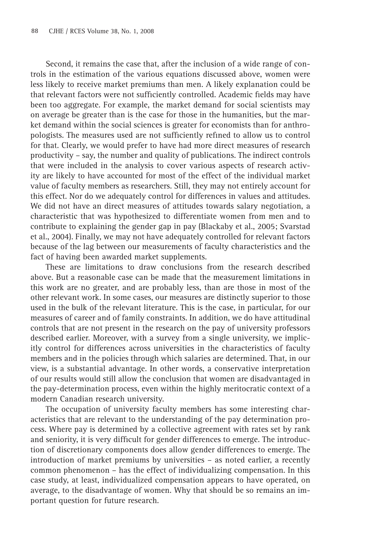Second, it remains the case that, after the inclusion of a wide range of controls in the estimation of the various equations discussed above, women were less likely to receive market premiums than men. A likely explanation could be that relevant factors were not sufficiently controlled. Academic fields may have been too aggregate. For example, the market demand for social scientists may on average be greater than is the case for those in the humanities, but the market demand within the social sciences is greater for economists than for anthropologists. The measures used are not sufficiently refined to allow us to control for that. Clearly, we would prefer to have had more direct measures of research productivity – say, the number and quality of publications. The indirect controls that were included in the analysis to cover various aspects of research activity are likely to have accounted for most of the effect of the individual market value of faculty members as researchers. Still, they may not entirely account for this effect. Nor do we adequately control for differences in values and attitudes. We did not have an direct measures of attitudes towards salary negotiation, a characteristic that was hypothesized to differentiate women from men and to contribute to explaining the gender gap in pay (Blackaby et al., 2005; Svarstad et al., 2004). Finally, we may not have adequately controlled for relevant factors because of the lag between our measurements of faculty characteristics and the fact of having been awarded market supplements.

These are limitations to draw conclusions from the research described above. But a reasonable case can be made that the measurement limitations in this work are no greater, and are probably less, than are those in most of the other relevant work. In some cases, our measures are distinctly superior to those used in the bulk of the relevant literature. This is the case, in particular, for our measures of career and of family constraints. In addition, we do have attitudinal controls that are not present in the research on the pay of university professors described earlier. Moreover, with a survey from a single university, we implicitly control for differences across universities in the characteristics of faculty members and in the policies through which salaries are determined. That, in our view, is a substantial advantage. In other words, a conservative interpretation of our results would still allow the conclusion that women are disadvantaged in the pay-determination process, even within the highly meritocratic context of a modern Canadian research university.

The occupation of university faculty members has some interesting characteristics that are relevant to the understanding of the pay determination process. Where pay is determined by a collective agreement with rates set by rank and seniority, it is very difficult for gender differences to emerge. The introduction of discretionary components does allow gender differences to emerge. The introduction of market premiums by universities – as noted earlier, a recently common phenomenon – has the effect of individualizing compensation. In this case study, at least, individualized compensation appears to have operated, on average, to the disadvantage of women. Why that should be so remains an important question for future research.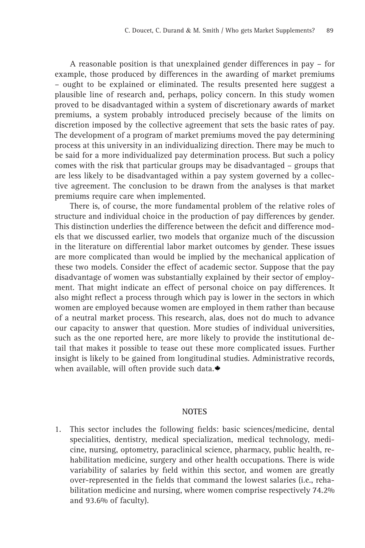A reasonable position is that unexplained gender differences in pay – for example, those produced by differences in the awarding of market premiums – ought to be explained or eliminated. The results presented here suggest a plausible line of research and, perhaps, policy concern. In this study women proved to be disadvantaged within a system of discretionary awards of market premiums, a system probably introduced precisely because of the limits on discretion imposed by the collective agreement that sets the basic rates of pay. The development of a program of market premiums moved the pay determining process at this university in an individualizing direction. There may be much to be said for a more individualized pay determination process. But such a policy comes with the risk that particular groups may be disadvantaged – groups that are less likely to be disadvantaged within a pay system governed by a collective agreement. The conclusion to be drawn from the analyses is that market premiums require care when implemented.

There is, of course, the more fundamental problem of the relative roles of structure and individual choice in the production of pay differences by gender. This distinction underlies the difference between the deficit and difference models that we discussed earlier, two models that organize much of the discussion in the literature on differential labor market outcomes by gender. These issues are more complicated than would be implied by the mechanical application of these two models. Consider the effect of academic sector. Suppose that the pay disadvantage of women was substantially explained by their sector of employment. That might indicate an effect of personal choice on pay differences. It also might reflect a process through which pay is lower in the sectors in which women are employed because women are employed in them rather than because of a neutral market process. This research, alas, does not do much to advance our capacity to answer that question. More studies of individual universities, such as the one reported here, are more likely to provide the institutional detail that makes it possible to tease out these more complicated issues. Further insight is likely to be gained from longitudinal studies. Administrative records, when available, will often provide such data.

#### **NOTES**

1. This sector includes the following fields: basic sciences/medicine, dental specialities, dentistry, medical specialization, medical technology, medicine, nursing, optometry, paraclinical science, pharmacy, public health, rehabilitation medicine, surgery and other health occupations. There is wide variability of salaries by field within this sector, and women are greatly over-represented in the fields that command the lowest salaries (i.e., rehabilitation medicine and nursing, where women comprise respectively 74.2% and 93.6% of faculty).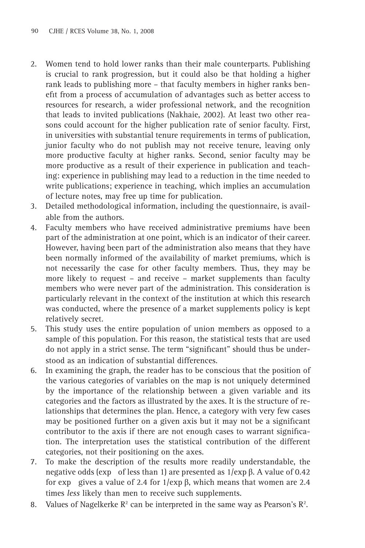- 2. Women tend to hold lower ranks than their male counterparts. Publishing is crucial to rank progression, but it could also be that holding a higher rank leads to publishing more – that faculty members in higher ranks benefit from a process of accumulation of advantages such as better access to resources for research, a wider professional network, and the recognition that leads to invited publications (Nakhaie, 2002). At least two other reasons could account for the higher publication rate of senior faculty. First, in universities with substantial tenure requirements in terms of publication, junior faculty who do not publish may not receive tenure, leaving only more productive faculty at higher ranks. Second, senior faculty may be more productive as a result of their experience in publication and teaching: experience in publishing may lead to a reduction in the time needed to write publications; experience in teaching, which implies an accumulation of lecture notes, may free up time for publication.
- 3. Detailed methodological information, including the questionnaire, is available from the authors.
- 4. Faculty members who have received administrative premiums have been part of the administration at one point, which is an indicator of their career. However, having been part of the administration also means that they have been normally informed of the availability of market premiums, which is not necessarily the case for other faculty members. Thus, they may be more likely to request – and receive – market supplements than faculty members who were never part of the administration. This consideration is particularly relevant in the context of the institution at which this research was conducted, where the presence of a market supplements policy is kept relatively secret.
- 5. This study uses the entire population of union members as opposed to a sample of this population. For this reason, the statistical tests that are used do not apply in a strict sense. The term "significant" should thus be understood as an indication of substantial differences.
- 6. In examining the graph, the reader has to be conscious that the position of the various categories of variables on the map is not uniquely determined by the importance of the relationship between a given variable and its categories and the factors as illustrated by the axes. It is the structure of relationships that determines the plan. Hence, a category with very few cases may be positioned further on a given axis but it may not be a significant contributor to the axis if there are not enough cases to warrant signification. The interpretation uses the statistical contribution of the different categories, not their positioning on the axes.
- 7. To make the description of the results more readily understandable, the negative odds (exp of less than 1) are presented as  $1$ /exp β. A value of 0.42 for exp gives a value of 2.4 for  $1/\exp \beta$ , which means that women are 2.4 times *less* likely than men to receive such supplements.
- 8. Values of Nagelkerke  $\mathbb{R}^2$  can be interpreted in the same way as Pearson's  $\mathbb{R}^2$ .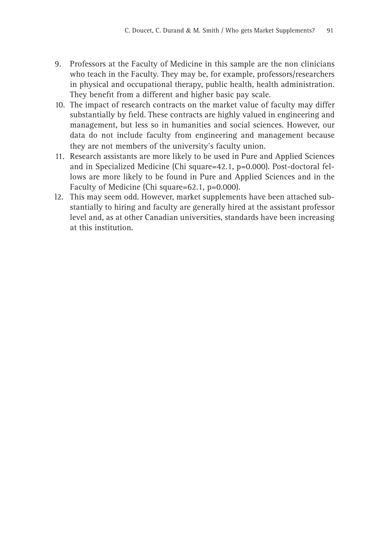- 9. Professors at the Faculty of Medicine in this sample are the non clinicians who teach in the Faculty. They may be, for example, professors/researchers in physical and occupational therapy, public health, health administration. They benefit from a different and higher basic pay scale.
- 10. The impact of research contracts on the market value of faculty may differ substantially by field. These contracts are highly valued in engineering and management, but less so in humanities and social sciences. However, our data do not include faculty from engineering and management because they are not members of the university's faculty union.
- 11. Research assistants are more likely to be used in Pure and Applied Sciences and in Specialized Medicine (Chi square=42.1, p=0.000). Post-doctoral fellows are more likely to be found in Pure and Applied Sciences and in the Faculty of Medicine (Chi square=62.1, p=0.000).
- l2. This may seem odd. However, market supplements have been attached substantially to hiring and faculty are generally hired at the assistant professor level and, as at other Canadian universities, standards have been increasing at this institution.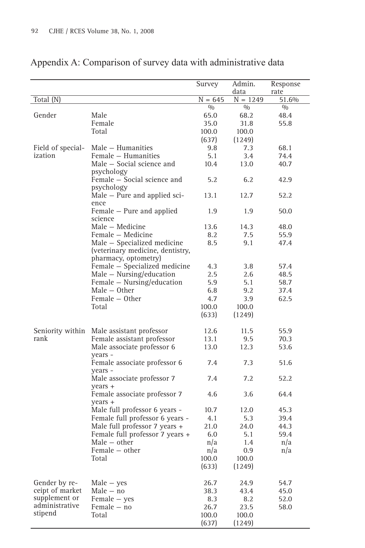|                   |                                                                                         | Survey    | Admin.     | Response |
|-------------------|-----------------------------------------------------------------------------------------|-----------|------------|----------|
|                   |                                                                                         |           | data       | rate     |
| Total (N)         |                                                                                         | $N = 645$ | $N = 1249$ | 51.6%    |
|                   |                                                                                         | 0/0       | 0/0        | 0/0      |
| Gender            | Male                                                                                    | 65.0      | 68.2       | 48.4     |
|                   | Female                                                                                  | 35.0      | 31.8       | 55.8     |
|                   | Total                                                                                   | 100.0     | 100.0      |          |
|                   |                                                                                         | (637)     | (1249)     |          |
| Field of special- | Male – Humanities                                                                       | 9.8       | 7.3        | 68.1     |
| ization           | Female – Humanities                                                                     | 5.1       | 3.4        | 74.4     |
|                   | Male – Social science and<br>psychology                                                 | 10.4      | 13.0       | 40.7     |
|                   | Female - Social science and<br>psychology                                               | 5.2       | 6.2        | 42.9     |
|                   | $Male - Pure$ and applied sci-<br>ence                                                  | 13.1      | 12.7       | 52.2     |
|                   | Female – Pure and applied<br>science                                                    | 1.9       | 1.9        | 50.0     |
|                   | Male – Medicine                                                                         | 13.6      | 14.3       | 48.0     |
|                   | Female – Medicine                                                                       | 8.2       | 7.5        | 55.9     |
|                   | Male - Specialized medicine<br>(veterinary medicine, dentistry,<br>pharmacy, optometry) | 8.5       | 9.1        | 47.4     |
|                   | Female - Specialized medicine                                                           | 4.3       | 3.8        | 57.4     |
|                   | Male $-$ Nursing/education                                                              | 2.5       | 2.6        | 48.5     |
|                   | Female - Nursing/education                                                              | 5.9       | 5.1        | 58.7     |
|                   | $Male - Other$                                                                          | 6.8       | 9.2        | 37.4     |
|                   | Female – Other                                                                          | 4.7       | 3.9        | 62.5     |
|                   | Total                                                                                   | 100.0     | 100.0      |          |
|                   |                                                                                         | (633)     | (1249)     |          |
| Seniority within  | Male assistant professor                                                                | 12.6      | 11.5       | 55.9     |
| rank              | Female assistant professor                                                              | 13.1      | 9.5        | 70.3     |
|                   | Male associate professor 6<br>years -                                                   | 13.0      | 12.3       | 53.6     |
|                   | Female associate professor 6<br>years -                                                 | 7.4       | 7.3        | 51.6     |
|                   | Male associate professor 7<br>years +                                                   | 7.4       | 7.2        | 52.2     |
|                   | Female associate professor 7<br>years +                                                 | 4.6       | 3.6        | 64.4     |
|                   | Male full professor 6 years -                                                           | 10.7      | 12.0       | 45.3     |
|                   | Female full professor 6 years -                                                         | 4.1       | 5.3        | 39.4     |
|                   | Male full professor 7 years +                                                           | 21.0      | 24.0       | 44.3     |
|                   | Female full professor 7 years +                                                         | 6.0       | 5.1        | 59.4     |
|                   | $Male - other$                                                                          | n/a       | 1.4        | n/a      |
|                   | $F$ emale $-$ other                                                                     | n/a       | 0.9        | n/a      |
|                   | Total                                                                                   | 100.0     | 100.0      |          |
|                   |                                                                                         | (633)     | (1249)     |          |
| Gender by re-     | $Male - yes$                                                                            | 26.7      | 24.9       | 54.7     |
| ceipt of market   | $Male - no$                                                                             | 38.3      | 43.4       | 45.0     |
| supplement or     | Female - yes                                                                            | 8.3       | 8.2        | 52.0     |
| administrative    | Female – no                                                                             | 26.7      | 23.5       | 58.0     |
| stipend           | Total                                                                                   | 100.0     | 100.0      |          |
|                   |                                                                                         | (637)     | (1249)     |          |

# Appendix A: Comparison of survey data with administrative data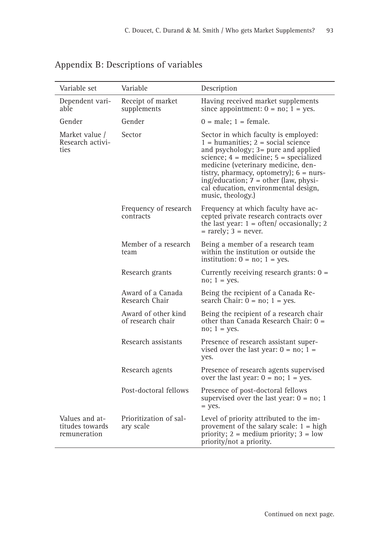| Variable set                                      | Variable                                 | Description                                                                                                                                                                                                                                                                                                                                                   |
|---------------------------------------------------|------------------------------------------|---------------------------------------------------------------------------------------------------------------------------------------------------------------------------------------------------------------------------------------------------------------------------------------------------------------------------------------------------------------|
| Dependent vari-<br>able                           | Receipt of market<br>supplements         | Having received market supplements<br>since appointment: $0 = no$ ; $1 = yes$ .                                                                                                                                                                                                                                                                               |
| Gender                                            | Gender                                   | $0 = male$ ; 1 = female.                                                                                                                                                                                                                                                                                                                                      |
| Market value /<br>Research activi-<br>ties        | Sector                                   | Sector in which faculty is employed:<br>$1 =$ humanities; $2 =$ social science<br>and psychology; 3= pure and applied<br>science; $4 =$ medicine; $5 =$ specialized<br>medicine (veterinary medicine, den-<br>tistry, pharmacy, optometry); $6 =$ nurs-<br>ing/education; 7 = other (law, physi-<br>cal education, environmental design,<br>music, theology.) |
|                                                   | Frequency of research<br>contracts       | Frequency at which faculty have ac-<br>cepted private research contracts over<br>the last year: $1 = \text{often}/\text{ occasionally}$ ; 2<br>$=$ rarely; $3 =$ never.                                                                                                                                                                                       |
|                                                   | Member of a research<br>team             | Being a member of a research team<br>within the institution or outside the<br>institution: $0 = no$ ; $1 = yes$ .                                                                                                                                                                                                                                             |
|                                                   | Research grants                          | Currently receiving research grants: $0 =$<br>$no; 1 = yes.$                                                                                                                                                                                                                                                                                                  |
|                                                   | Award of a Canada<br>Research Chair      | Being the recipient of a Canada Re-<br>search Chair: $0 = no$ ; $1 = yes$ .                                                                                                                                                                                                                                                                                   |
|                                                   | Award of other kind<br>of research chair | Being the recipient of a research chair<br>other than Canada Research Chair: 0 =<br>$no; 1 = yes.$                                                                                                                                                                                                                                                            |
|                                                   | Research assistants                      | Presence of research assistant super-<br>vised over the last year: $0 = no$ ; $1 =$<br>yes.                                                                                                                                                                                                                                                                   |
|                                                   | Research agents                          | Presence of research agents supervised<br>over the last year: $0 = no$ ; $1 = yes$ .                                                                                                                                                                                                                                                                          |
|                                                   | Post-doctoral fellows                    | Presence of post-doctoral fellows<br>supervised over the last year: $0 = no$ ; 1<br>$=$ yes.                                                                                                                                                                                                                                                                  |
| Values and at-<br>titudes towards<br>remuneration | Prioritization of sal-<br>ary scale      | Level of priority attributed to the im-<br>provement of the salary scale: $1 = high$<br>priority; $2 = \text{medium priority}; 3 = \text{low}$<br>priority/not a priority.                                                                                                                                                                                    |

# Appendix B: Descriptions of variables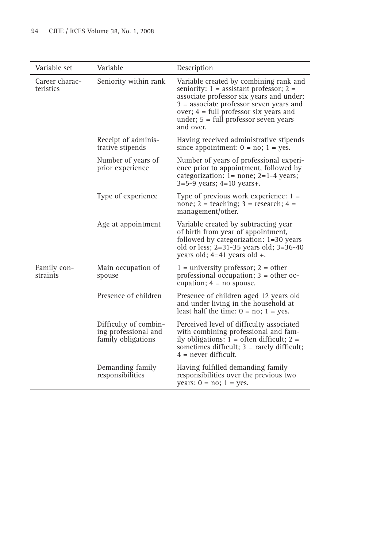| Variable set                | Variable                                                            | Description                                                                                                                                                                                                                                                                        |
|-----------------------------|---------------------------------------------------------------------|------------------------------------------------------------------------------------------------------------------------------------------------------------------------------------------------------------------------------------------------------------------------------------|
| Career charac-<br>teristics | Seniority within rank                                               | Variable created by combining rank and<br>seniority: $1 =$ assistant professor; $2 =$<br>associate professor six years and under;<br>$3$ = associate professor seven years and<br>over; $4 = full professor six years and$<br>under; $5 = full professor seven years$<br>and over. |
|                             | Receipt of adminis-<br>trative stipends                             | Having received administrative stipends<br>since appointment: $0 = no$ ; $1 = yes$ .                                                                                                                                                                                               |
|                             | Number of years of<br>prior experience                              | Number of years of professional experi-<br>ence prior to appointment, followed by<br>categorization: $1 = none$ ; $2 = 1-4$ years;<br>$3=5-9$ years; $4=10$ years+.                                                                                                                |
|                             | Type of experience                                                  | Type of previous work experience: $1 =$<br>none; $2 =$ teaching; $3 =$ research; $4 =$<br>management/other.                                                                                                                                                                        |
|                             | Age at appointment                                                  | Variable created by subtracting year<br>of birth from year of appointment,<br>followed by categorization: 1=30 years<br>old or less; $2=31-35$ years old; $3=36-40$<br>years old; $4=41$ years old $+$ .                                                                           |
| Family con-<br>straints     | Main occupation of<br>spouse                                        | $1 =$ university professor; $2 =$ other<br>professional occupation; $3 =$ other oc-<br>cupation; $4 = no$ spouse.                                                                                                                                                                  |
|                             | Presence of children                                                | Presence of children aged 12 years old<br>and under living in the household at<br>least half the time: $0 = no$ ; $1 = yes$ .                                                                                                                                                      |
|                             | Difficulty of combin-<br>ing professional and<br>family obligations | Perceived level of difficulty associated<br>with combining professional and fam-<br>ily obligations: $1 =$ often difficult; $2 =$<br>sometimes difficult; $3 =$ rarely difficult;<br>$4$ = never difficult.                                                                        |
|                             | Demanding family<br>responsibilities                                | Having fulfilled demanding family<br>responsibilities over the previous two<br>years: $0 = no$ ; $1 = yes$ .                                                                                                                                                                       |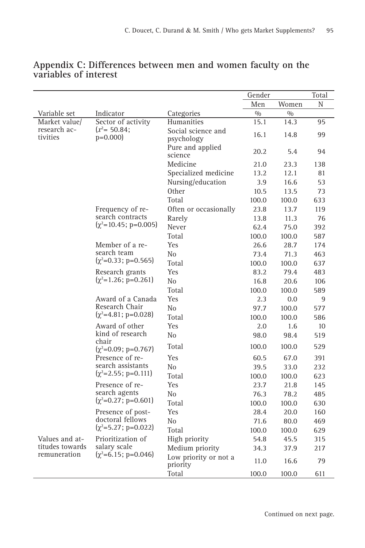|                          |                                         |                                   | Gender |       | Total |
|--------------------------|-----------------------------------------|-----------------------------------|--------|-------|-------|
|                          |                                         |                                   | Men    | Women | N     |
| Variable set             | Indicator                               | Categories                        | 0/0    | 0/0   |       |
| Market value/            | Sector of activity                      | Humanities                        | 15.1   | 14.3  | 95    |
| research ac-<br>tivities | $(x^2 = 50.84)$ ;<br>$p=0.000$          | Social science and<br>psychology  | 16.1   | 14.8  | 99    |
|                          |                                         | Pure and applied<br>science       | 20.2   | 5.4   | 94    |
|                          |                                         | Medicine                          | 21.0   | 23.3  | 138   |
|                          |                                         | Specialized medicine              | 13.2   | 12.1  | 81    |
|                          |                                         | Nursing/education                 | 3.9    | 16.6  | 53    |
|                          |                                         | <b>Other</b>                      | 10.5   | 13.5  | 73    |
|                          |                                         | Total                             | 100.0  | 100.0 | 633   |
|                          | Frequency of re-                        | Often or occasionally             | 23.8   | 13.7  | 119   |
|                          | search contracts                        | Rarely                            | 13.8   | 11.3  | 76    |
|                          | $(\chi^2 = 10.45; \, \text{p} = 0.005)$ | Never                             | 62.4   | 75.0  | 392   |
|                          |                                         | Total                             | 100.0  | 100.0 | 587   |
|                          | Member of a re-                         | Yes                               | 26.6   | 28.7  | 174   |
|                          | search team                             | No                                | 73.4   | 71.3  | 463   |
|                          | $(\chi^2=0.33; \, \mathrm{p}=0.565)$    | Total                             | 100.0  | 100.0 | 637   |
|                          | Research grants                         | Yes                               | 83.2   | 79.4  | 483   |
|                          | $(\gamma^2=1.26; p=0.261)$              | No                                | 16.8   | 20.6  | 106   |
|                          |                                         | Total                             | 100.0  | 100.0 | 589   |
|                          | Award of a Canada                       | Yes                               | 2.3    | 0.0   | 9     |
|                          | Research Chair                          | N <sub>0</sub>                    | 97.7   | 100.0 | 577   |
|                          | $(\gamma^2 = 4.81; p = 0.028)$          | Total                             | 100.0  | 100.0 | 586   |
|                          | Award of other                          | Yes                               | 2.0    | 1.6   | 10    |
|                          | kind of research<br>chair               | N <sub>0</sub>                    | 98.0   | 98.4  | 519   |
|                          | $(\chi^2=0.09; p=0.767)$                | Total                             | 100.0  | 100.0 | 529   |
|                          | Presence of re-                         | Yes                               | 60.5   | 67.0  | 391   |
|                          | search assistants                       | N <sub>o</sub>                    | 39.5   | 33.0  | 232   |
|                          | $(\chi^2=2.55; p=0.111)$                | Total                             | 100.0  | 100.0 | 623   |
|                          | Presence of re-                         | Yes                               | 23.7   | 21.8  | 145   |
|                          | search agents                           | N <sub>0</sub>                    | 76.3   | 78.2  | 485   |
|                          | $(\chi^2=0.27; p=0.601)$                | Total                             | 100.0  | 100.0 | 630   |
|                          | Presence of post-                       | Yes                               | 28.4   | 20.0  | 160   |
|                          | doctoral fellows                        | N <sub>0</sub>                    | 71.6   | 80.0  | 469   |
|                          | $(\gamma^2 = 5.27; p = 0.022)$          | Total                             | 100.0  | 100.0 | 629   |
| Values and at-           | Prioritization of                       | High priority                     | 54.8   | 45.5  | 315   |
| titudes towards          | salary scale                            | Medium priority                   | 34.3   | 37.9  | 217   |
| remuneration             | $(\chi^2 = 6.15; \, \text{p} = 0.046)$  | Low priority or not a<br>priority | 11.0   | 16.6  | 79    |
|                          |                                         | Total                             | 100.0  | 100.0 | 611   |

# **Appendix C: Differences between men and women faculty on the variables of interest**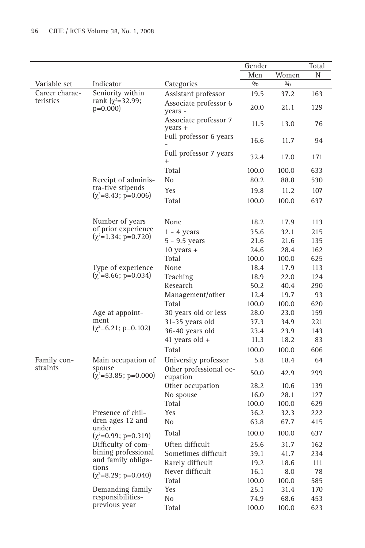|                |                                                 |                                    | Gender |       | Total |
|----------------|-------------------------------------------------|------------------------------------|--------|-------|-------|
|                |                                                 |                                    | Men    | Women | Ν     |
| Variable set   | Indicator                                       | Categories                         | 0/0    | 0/0   |       |
| Career charac- | Seniority within                                | Assistant professor                | 19.5   | 37.2  | 163   |
| teristics      | rank $(\chi^2 = 32.99)$ ;<br>$p=0.000$          | Associate professor 6<br>years -   | 20.0   | 21.1  | 129   |
|                |                                                 | Associate professor 7<br>years +   | 11.5   | 13.0  | 76    |
|                |                                                 | Full professor 6 years             | 16.6   | 11.7  | 94    |
|                |                                                 | Full professor 7 years<br>$^{+}$   | 32.4   | 17.0  | 171   |
|                |                                                 | Total                              | 100.0  | 100.0 | 633   |
|                | Receipt of adminis-                             | N <sub>0</sub>                     | 80.2   | 88.8  | 530   |
|                | tra-tive stipends                               | Yes                                | 19.8   | 11.2  | 107   |
|                | $(\chi^2 = 8.43; \, \text{p} = 0.006)$          | Total                              | 100.0  | 100.0 | 637   |
|                |                                                 |                                    |        |       |       |
|                | Number of years                                 | None                               | 18.2   | 17.9  | 113   |
|                | of prior experience                             | $1 - 4$ years                      | 35.6   | 32.1  | 215   |
|                | $(\chi^2=1.34; p=0.720)$                        | 5 - 9.5 years                      | 21.6   | 21.6  | 135   |
|                |                                                 | $10$ years $+$                     | 24.6   | 28.4  | 162   |
|                |                                                 | Total                              | 100.0  | 100.0 | 625   |
|                | Type of experience                              | None                               | 18.4   | 17.9  | 113   |
|                | $(\chi^2 = 8.66; p = 0.034)$                    | Teaching                           | 18.9   | 22.0  | 124   |
|                |                                                 | Research                           | 50.2   | 40.4  | 290   |
|                |                                                 | Management/other                   | 12.4   | 19.7  | 93    |
|                |                                                 | Total                              | 100.0  | 100.0 | 620   |
|                | Age at appoint-                                 | 30 years old or less               | 28.0   | 23.0  | 159   |
|                | ment                                            | 31-35 years old                    | 37.3   | 34.9  | 221   |
|                | $(\chi^2=6.21; p=0.102)$                        | 36-40 years old                    | 23.4   | 23.9  | 143   |
|                |                                                 | 41 years old $+$                   | 11.3   | 18.2  | 83    |
|                |                                                 | Total                              | 100.0  | 100.0 | 606   |
| Family con-    | Main occupation of                              | University professor               | 5.8    | 18.4  | 64    |
| straints       | spouse<br>$(\chi^2 = 53.85; \text{ p} = 0.000)$ | Other professional oc-<br>cupation | 50.0   | 42.9  | 299   |
|                |                                                 | Other occupation                   | 28.2   | 10.6  | 139   |
|                |                                                 | No spouse                          | 16.0   | 28.1  | 127   |
|                |                                                 | Total                              | 100.0  | 100.0 | 629   |
|                | Presence of chil-                               | Yes                                | 36.2   | 32.3  | 222   |
|                | dren ages 12 and                                | N <sub>0</sub>                     | 63.8   | 67.7  | 415   |
|                | under<br>$(\chi^2=0.99; p=0.319)$               | Total                              | 100.0  | 100.0 | 637   |
|                | Difficulty of com-                              | Often difficult                    | 25.6   | 31.7  | 162   |
|                | bining professional                             | Sometimes difficult                | 39.1   | 41.7  | 234   |
|                | and family obliga-<br>tions                     | Rarely difficult                   | 19.2   | 18.6  | 111   |
|                | $(\chi^2=8.29; p=0.040)$                        | Never difficult                    | 16.1   | 8.0   | 78    |
|                |                                                 | Total                              | 100.0  | 100.0 | 585   |
|                | Demanding family                                | Yes                                | 25.1   | 31.4  | 170   |
|                | responsibilities-                               | No                                 | 74.9   | 68.6  | 453   |
|                | previous year                                   | Total                              | 100.0  | 100.0 | 623   |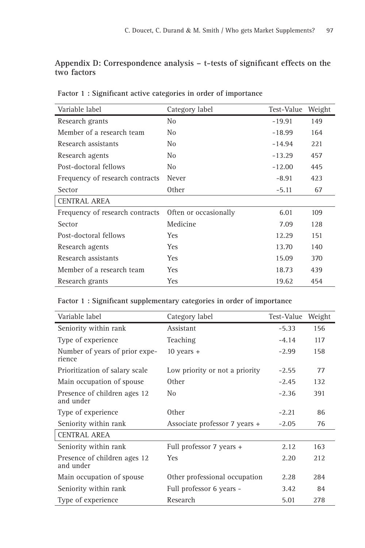# Appendix D: Correspondence analysis - t-tests of significant effects on the **two factors**

| Variable label                  | Category label        | Test-Value | Weight |
|---------------------------------|-----------------------|------------|--------|
| Research grants                 | N <sub>0</sub>        | $-19.91$   | 149    |
| Member of a research team       | No                    | $-18.99$   | 164    |
| Research assistants             | N <sub>0</sub>        | $-14.94$   | 221    |
| Research agents                 | No                    | $-13.29$   | 457    |
| Post-doctoral fellows           | No                    | $-12.00$   | 445    |
| Frequency of research contracts | Never                 | $-8.91$    | 423    |
| Sector                          | <b>Other</b>          | $-5.11$    | 67     |
| CENTRAL AREA                    |                       |            |        |
| Frequency of research contracts | Often or occasionally | 6.01       | 109    |
| Sector                          | Medicine              | 7.09       | 128    |
| Post-doctoral fellows           | <b>Yes</b>            | 12.29      | 151    |
| Research agents                 | <b>Yes</b>            | 13.70      | 140    |
| Research assistants             | <b>Yes</b>            | 15.09      | 370    |
| Member of a research team       | <b>Yes</b>            | 18.73      | 439    |
| Research grants                 | <b>Yes</b>            | 19.62      | 454    |

Factor 1 : Significant active categories in order of importance

# Factor 1 : Significant supplementary categories in order of importance

| Variable label                            | Category label                 | Test-Value | Weight |
|-------------------------------------------|--------------------------------|------------|--------|
| Seniority within rank                     | Assistant                      | $-5.33$    | 156    |
| Type of experience                        | Teaching                       | $-4.14$    | 117    |
| Number of years of prior expe-<br>rience  | $10$ years $+$                 | $-2.99$    | 158    |
| Prioritization of salary scale            | Low priority or not a priority | $-2.55$    | 77     |
| Main occupation of spouse                 | <b>Other</b>                   | $-2.45$    | 132    |
| Presence of children ages 12<br>and under | N <sub>0</sub>                 | $-2.36$    | 391    |
| Type of experience                        | 0 <sub>ther</sub>              | $-2.21$    | 86     |
| Seniority within rank                     | Associate professor 7 years +  | $-2.05$    | 76     |
| CENTRAL AREA                              |                                |            |        |
| Seniority within rank                     | Full professor 7 years +       | 2.12       | 163    |
| Presence of children ages 12<br>and under | <b>Yes</b>                     | 2.20       | 212    |
| Main occupation of spouse                 | Other professional occupation  | 2.28       | 284    |
| Seniority within rank                     | Full professor 6 years -       | 3.42       | 84     |
| Type of experience                        | Research                       | 5.01       | 278    |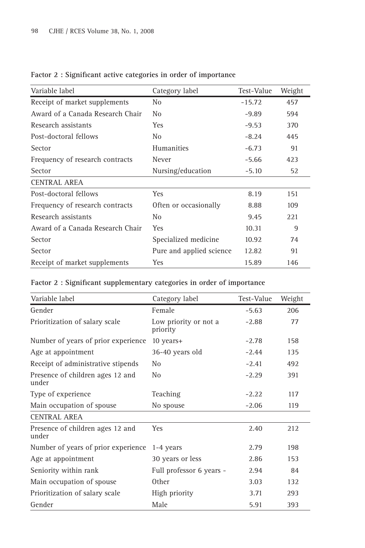| Variable label                   | Category label           | Test-Value | Weight |
|----------------------------------|--------------------------|------------|--------|
| Receipt of market supplements    | No                       | $-15.72$   | 457    |
| Award of a Canada Research Chair | N <sub>0</sub>           | $-9.89$    | 594    |
| Research assistants              | <b>Yes</b>               | $-9.53$    | 370    |
| Post-doctoral fellows            | N <sub>0</sub>           | $-8.24$    | 445    |
| Sector                           | Humanities               | $-6.73$    | 91     |
| Frequency of research contracts  | Never                    | $-5.66$    | 423    |
| Sector                           | Nursing/education        | $-5.10$    | 52     |
| <b>CENTRAL AREA</b>              |                          |            |        |
| Post-doctoral fellows            | <b>Yes</b>               | 8.19       | 151    |
| Frequency of research contracts  | Often or occasionally    | 8.88       | 109    |
| Research assistants              | No                       | 9.45       | 221    |
| Award of a Canada Research Chair | <b>Yes</b>               | 10.31      | 9      |
| Sector                           | Specialized medicine     | 10.92      | 74     |
| Sector                           | Pure and applied science | 12.82      | 91     |
| Receipt of market supplements    | Yes                      | 15.89      | 146    |

# Factor 2 : Significant active categories in order of importance

| Factor 2: Significant supplementary categories in order of importance |  |  |  |
|-----------------------------------------------------------------------|--|--|--|
|-----------------------------------------------------------------------|--|--|--|

| Variable label                            | Category label                    | Test-Value | Weight |
|-------------------------------------------|-----------------------------------|------------|--------|
| Gender                                    | Female                            | $-5.63$    | 206    |
| Prioritization of salary scale            | Low priority or not a<br>priority | $-2.88$    | 77     |
| Number of years of prior experience       | 10 years+                         | $-2.78$    | 158    |
| Age at appointment                        | 36-40 years old                   | $-2.44$    | 135    |
| Receipt of administrative stipends        | No                                | $-2.41$    | 492    |
| Presence of children ages 12 and<br>under | N <sub>0</sub>                    | $-2.29$    | 391    |
| Type of experience                        | Teaching                          | $-2.22$    | 117    |
| Main occupation of spouse                 | No spouse                         | $-2.06$    | 119    |
| <b>CENTRAL AREA</b>                       |                                   |            |        |
| Presence of children ages 12 and<br>under | Yes                               | 2.40       | 212    |
| Number of years of prior experience.      | 1-4 years                         | 2.79       | 198    |
| Age at appointment                        | 30 years or less                  | 2.86       | 153    |
| Seniority within rank                     | Full professor 6 years -          | 2.94       | 84     |
| Main occupation of spouse                 | <b>Other</b>                      | 3.03       | 132    |
| Prioritization of salary scale            | High priority                     | 3.71       | 293    |
| Gender                                    | Male                              | 5.91       | 393    |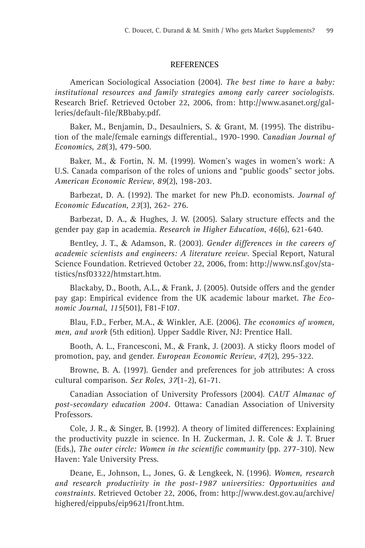#### **REFERENCES**

American Sociological Association (2004). *The best time to have a baby: institutional resources and family strategies among early career sociologists.* Research Brief. Retrieved October 22, 2006, from: http://www.asanet.org/galleries/default-file/RBbaby.pdf.

Baker, M., Benjamin, D., Desaulniers, S. & Grant, M. (1995). The distribution of the male/female earnings differential., 1970-1990. *Canadian Journal of Economics*, *28*(3), 479-500.

Baker, M., & Fortin, N. M. (1999). Women's wages in women's work: A U.S. Canada comparison of the roles of unions and "public goods" sector jobs. *American Economic Review*, *89*(2), 198-203.

Barbezat, D. A. (1992). The market for new Ph.D. economists. *Journal of Economic Education*, *23*(3), 262- 276.

Barbezat, D. A., & Hughes, J. W. (2005). Salary structure effects and the gender pay gap in academia. *Research in Higher Education*, *46*(6), 621-640.

Bentley, J. T., & Adamson, R. (2003). *Gender differences in the careers of academic scientists and engineers: A literature review*. Special Report, Natural Science Foundation. Retrieved October 22, 2006, from: http://www.nsf.gov/statistics/nsf03322/htmstart.htm.

Blackaby, D., Booth, A.L., & Frank, J. (2005). Outside offers and the gender pay gap: Empirical evidence from the UK academic labour market. *The Economic Journal*, *115*(501), F81-F107.

Blau, F.D., Ferber, M.A., & Winkler, A.E. (2006). *The economics of women, men, and work* (5th edition). Upper Saddle River, NJ: Prentice Hall.

Booth, A. L., Francesconi, M., & Frank, J. (2003). A sticky floors model of promotion, pay, and gender. *European Economic Review*, *47*(2), 295-322.

Browne, B. A. (1997). Gender and preferences for job attributes: A cross cultural comparison. *Sex Roles*, *37*(1-2), 61-71.

Canadian Association of University Professors (2004). *CAUT Almanac of post-secondary education 2004.* Ottawa: Canadian Association of University Professors.

Cole, J. R., & Singer, B. (1992). A theory of limited differences: Explaining the productivity puzzle in science. In H. Zuckerman, J. R. Cole & J. T. Bruer (Eds.), The outer circle: Women in the scientific community (pp. 277-310). New Haven: Yale University Press.

Deane, E., Johnson, L., Jones, G. & Lengkeek, N. (1996). *Women, research and research productivity in the post-1987 universities: Opportunities and constraints.* Retrieved October 22, 2006, from: http://www.dest.gov.au/archive/ highered/eippubs/eip9621/front.htm.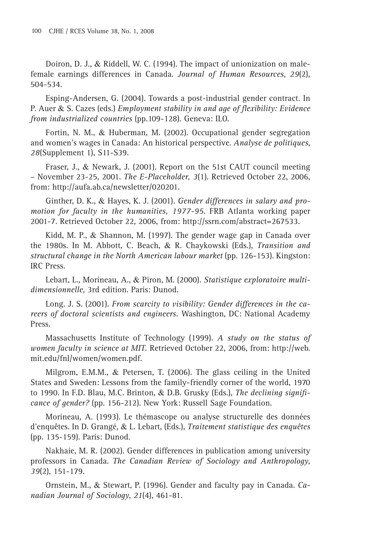Doiron, D. J., & Riddell, W. C. (1994). The impact of unionization on malefemale earnings differences in Canada. *Journal of Human Resources*, *29*(2), 504-534.

Esping-Andersen, G. (2004). Towards a post-industrial gender contract. In P. Auer & S. Cazes (eds.) *Employment stability in and age of flexibility: Evidence from industrialized countries* (pp.109-128). Geneva: ILO.

Fortin, N. M., & Huberman, M. (2002). Occupational gender segregation and women's wages in Canada: An historical perspective. *Analyse de politiques*, *28*(Supplement 1), S11-S39.

Fraser, J., & Newark, J. (2001). Report on the 51st CAUT council meeting – November 23-25, 2001. *The E-Placeholder, 3*(1). Retrieved October 22, 2006, from: http://aufa.ab.ca/newsletter/020201.

Ginther, D. K., & Hayes, K. J. (2001). *Gender differences in salary and promotion for faculty in the humanities, 1977-95*. FRB Atlanta working paper 2001-7. Retrieved October 22, 2006, from: http://ssrn.com/abstract=267533.

Kidd, M. P., & Shannon, M. (1997). The gender wage gap in Canada over the 1980s. In M. Abbott, C. Beach, & R. Chaykowski (Eds.), *Transition and structural change in the North American labour market* (pp. 126-153). Kingston: IRC Press.

Lebart, L., Morineau, A., & Piron, M. (2000). *Statistique exploratoire multidimensionnelle,* 3rd edition. Paris: Dunod.

Long. J. S. (2001). *From scarcity to visibility: Gender differences in the careers of doctoral scientists and engineers.* Washington, DC: National Academy Press.

Massachusetts Institute of Technology (1999). *A study on the status of women faculty in science at MIT.* Retrieved October 22, 2006, from: http://web. mit.edu/fnl/women/women.pdf.

Milgrom, E.M.M., & Petersen, T. (2006). The glass ceiling in the United States and Sweden: Lessons from the family-friendly corner of the world, 1970 to 1990. In F.D. Blau, M.C. Brinton, & D.B. Grusky (Eds.), *The declining signifi cance of gender?* (pp. 156-212). New York: Russell Sage Foundation.

Morineau, A. (1993). Le thémascope ou analyse structurelle des données d'enquêtes. In D. Grangé, & L. Lebart, (Eds.), *Traitement statistique des enquêtes* (pp. 135-159). Paris: Dunod.

Nakhaie, M. R. (2002). Gender differences in publication among university professors in Canada. *The Canadian Review of Sociology and Anthropology*, *39*(2), 151-179.

Ornstein, M., & Stewart, P. (1996). Gender and faculty pay in Canada. *Canadian Journal of Sociology*, *21*(4), 461-81.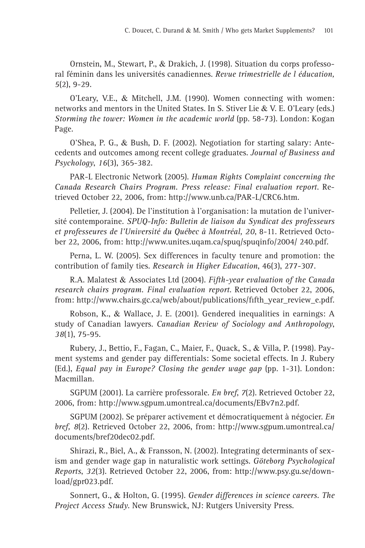Ornstein, M., Stewart, P., & Drakich, J. (1998). Situation du corps professoral féminin dans les universités canadiennes. *Revue trimestrielle de l éducation, 5*(2), 9-29.

O'Leary, V.E., & Mitchell, J.M. (1990). Women connecting with women: networks and mentors in the United States. In S. Stiver Lie & V. E. O'Leary (eds.) *Storming the tower: Women in the academic world* (pp. 58-73). London: Kogan Page.

O'Shea, P. G., & Bush, D. F. (2002). Negotiation for starting salary: Antecedents and outcomes among recent college graduates. *Journal of Business and Psychology*, *16*(3), 365-382.

PAR-L Electronic Network (2005). *Human Rights Complaint concerning the Canada Research Chairs Program. Press release: Final evaluation report*. Retrieved October 22, 2006, from: http://www.unb.ca/PAR-L/CRC6.htm.

Pelletier, J. (2004). De l'institution à l'organisation: la mutation de l'université contemporaine*. SPUQ-Info: Bulletin de liaison du Syndicat des professeurs et professeures de l'Université du Québec à Montréal, 20*, 8-11. Retrieved October 22, 2006, from: http://www.unites.uqam.ca/spuq/spuqinfo/2004/ 240.pdf.

Perna, L. W. (2005). Sex differences in faculty tenure and promotion: the contribution of family ties. *Research in Higher Education*, 46(3), 277-307.

R.A. Malatest & Associates Ltd (2004). *Fifth-year evaluation of the Canada research chairs program. Final evaluation report*. Retrieved October 22, 2006, from: http://www.chairs.gc.ca/web/about/publications/fifth\_year\_review\_e.pdf.

Robson, K., & Wallace, J. E. (2001). Gendered inequalities in earnings: A study of Canadian lawyers. *Canadian Review of Sociology and Anthropology*, *38*(1), 75-95.

Rubery, J., Bettio, F., Fagan, C., Maier, F., Quack, S., & Villa, P. (1998). Payment systems and gender pay differentials: Some societal effects. In J. Rubery (Ed.), *Equal pay in Europe? Closing the gender wage gap* (pp. 1-31). London: Macmillan.

SGPUM (2001). La carrière professorale. *En bref*, *7*(2). Retrieved October 22, 2006, from: http://www.sgpum.umontreal.ca/documents/EBv7n2.pdf.

SGPUM (2002). Se préparer activement et démocratiquement à négocier. *En bref, 8*(2). Retrieved October 22, 2006, from: http://www.sgpum.umontreal.ca/ documents/bref20dec02.pdf.

Shirazi, R., Biel, A., & Fransson, N. (2002). Integrating determinants of sexism and gender wage gap in naturalistic work settings. *Göteborg Psychological Reports*, *32*(3). Retrieved October 22, 2006, from: http://www.psy.gu.se/download/gpr023.pdf.

Sonnert, G., & Holton, G. (1995). *Gender differences in science careers. The Project Access Study*. New Brunswick, NJ: Rutgers University Press.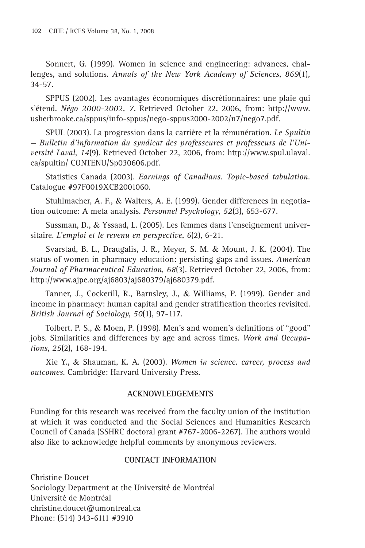Sonnert, G. (1999). Women in science and engineering: advances, challenges, and solutions. *Annals of the New York Academy of Sciences*, *869*(1)*,* 34-57.

SPPUS (2002). Les avantages économiques discrétionnaires: une plaie qui s'étend. *Négo 2000-2002, 7*. Retrieved October 22, 2006, from: http://www. usherbrooke.ca/sppus/info-sppus/nego-sppus2000-2002/n7/nego7.pdf.

SPUL (2003). La progression dans la carrière et la rémunération. *Le Spultin — Bulletin d'information du syndicat des professeures et professeurs de l'Université Laval*, *14*(9). Retrieved October 22, 2006, from: http://www.spul.ulaval. ca/spultin/ CONTENU/Sp030606.pdf.

Statistics Canada (2003). *Earnings of Canadians. Topic-based tabulation.* Catalogue #97F0019XCB2001060.

Stuhlmacher, A. F., & Walters, A. E. (1999). Gender differences in negotiation outcome: A meta analysis. *Personnel Psychology*, *52*(3), 653-677.

Sussman, D., & Yssaad, L. (2005). Les femmes dans l'enseignement universitaire. *L'emploi et le revenu en perspective*, *6*(2), 6-21.

Svarstad, B. L., Draugalis, J. R., Meyer, S. M. & Mount, J. K. (2004). The status of women in pharmacy education: persisting gaps and issues. *American Journal of Pharmaceutical Education*, *68*(3). Retrieved October 22, 2006, from: http://www.ajpe.org/aj6803/aj680379/aj680379.pdf.

Tanner, J., Cockerill, R., Barnsley, J., & Williams, P. (1999). Gender and income in pharmacy: human capital and gender stratification theories revisited. *British Journal of Sociology*, *50*(1), 97-117.

Tolbert, P. S., & Moen, P. (1998). Men's and women's definitions of "good" jobs. Similarities and differences by age and across times. *Work and Occupations*, *25*(2), 168-194.

Xie Y., & Shauman, K. A. (2003). *Women in science. career, process and outcomes*. Cambridge: Harvard University Press.

# **ACKNOWLEDGEMENTS**

Funding for this research was received from the faculty union of the institution at which it was conducted and the Social Sciences and Humanities Research Council of Canada (SSHRC doctoral grant #767-2006-2267). The authors would also like to acknowledge helpful comments by anonymous reviewers.

# **CONTACT INFORMATION**

Christine Doucet Sociology Department at the Université de Montréal Université de Montréal christine.doucet@umontreal.ca Phone: (514) 343-6111 #3910